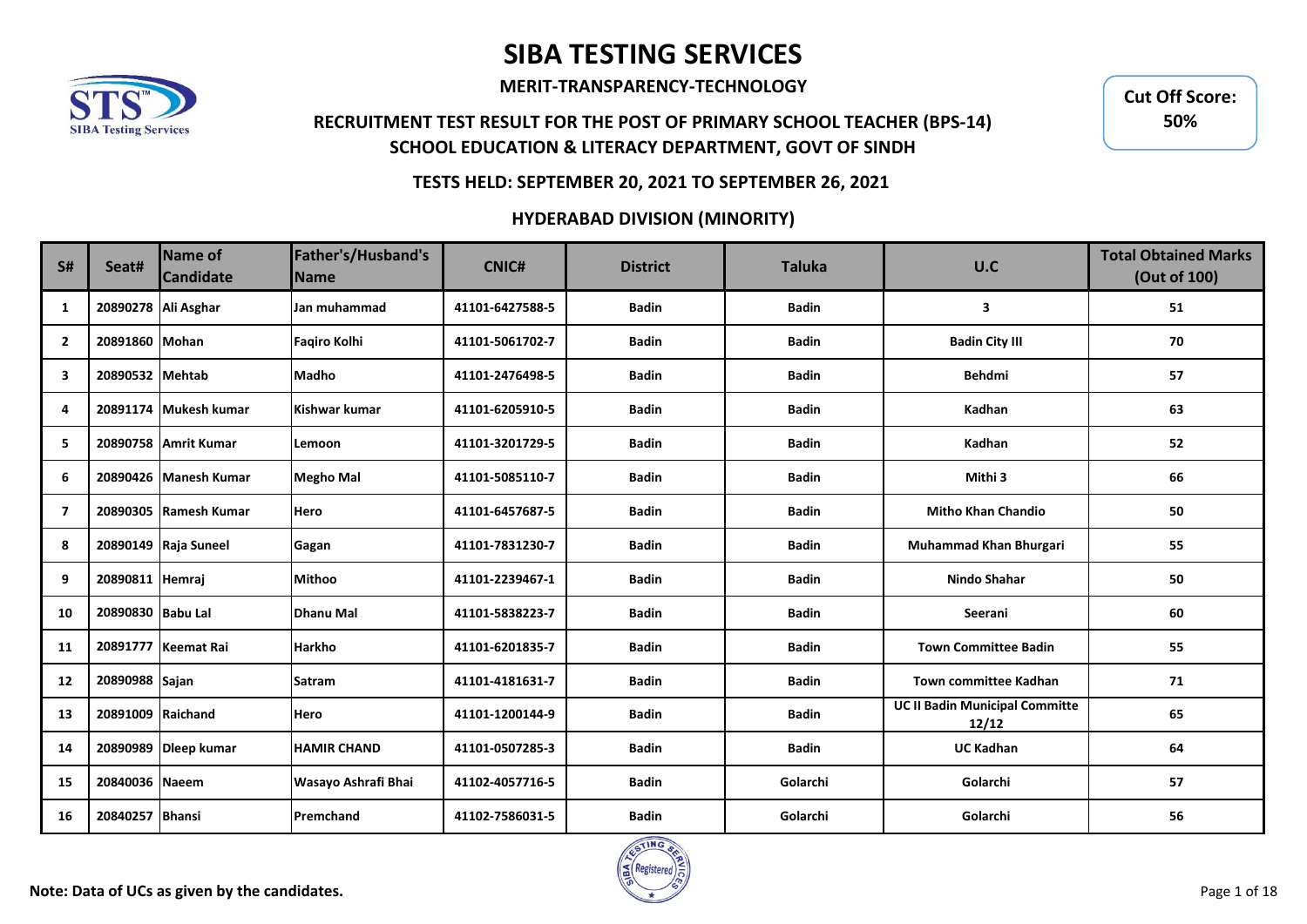

**MERIT-TRANSPARENCY-TECHNOLOGY**

## **RECRUITMENT TEST RESULT FOR THE POST OF PRIMARY SCHOOL TEACHER (BPS-14) SCHOOL EDUCATION & LITERACY DEPARTMENT, GOVT OF SINDH**

**Cut Off Score: 50%**

### **TESTS HELD: SEPTEMBER 20, 2021 TO SEPTEMBER 26, 2021**

| S#                      | Seat#               | Name of<br><b>Candidate</b> | Father's/Husband's<br><b>Name</b> | <b>CNIC#</b>    | <b>District</b> | <b>Taluka</b> | U.C                                            | <b>Total Obtained Marks</b><br>(Out of 100) |
|-------------------------|---------------------|-----------------------------|-----------------------------------|-----------------|-----------------|---------------|------------------------------------------------|---------------------------------------------|
| 1                       | 20890278 Ali Asghar |                             | Jan muhammad                      | 41101-6427588-5 | <b>Badin</b>    | <b>Badin</b>  | 3                                              | 51                                          |
| $\mathbf{2}$            | 20891860 Mohan      |                             | <b>Fagiro Kolhi</b>               | 41101-5061702-7 | <b>Badin</b>    | <b>Badin</b>  | <b>Badin City III</b>                          | 70                                          |
| 3                       | 20890532 Mehtab     |                             | <b>Madho</b>                      | 41101-2476498-5 | <b>Badin</b>    | <b>Badin</b>  | <b>Behdmi</b>                                  | 57                                          |
| 4                       |                     | 20891174 Mukesh kumar       | Kishwar kumar                     | 41101-6205910-5 | <b>Badin</b>    | <b>Badin</b>  | Kadhan                                         | 63                                          |
| 5                       |                     | 20890758 Amrit Kumar        | Lemoon                            | 41101-3201729-5 | Badin           | <b>Badin</b>  | Kadhan                                         | 52                                          |
| 6                       |                     | 20890426 Manesh Kumar       | <b>Megho Mal</b>                  | 41101-5085110-7 | <b>Badin</b>    | <b>Badin</b>  | Mithi 3                                        | 66                                          |
| $\overline{\mathbf{z}}$ |                     | 20890305 Ramesh Kumar       | <b>Hero</b>                       | 41101-6457687-5 | <b>Badin</b>    | <b>Badin</b>  | <b>Mitho Khan Chandio</b>                      | 50                                          |
| 8                       |                     | 20890149 Raja Suneel        | Gagan                             | 41101-7831230-7 | <b>Badin</b>    | <b>Badin</b>  | Muhammad Khan Bhurgari                         | 55                                          |
| 9                       | 20890811 Hemraj     |                             | <b>Mithoo</b>                     | 41101-2239467-1 | <b>Badin</b>    | <b>Badin</b>  | <b>Nindo Shahar</b>                            | 50                                          |
| 10                      | 20890830 Babu Lal   |                             | Dhanu Mal                         | 41101-5838223-7 | <b>Badin</b>    | <b>Badin</b>  | Seerani                                        | 60                                          |
| 11                      |                     | 20891777 Keemat Rai         | <b>Harkho</b>                     | 41101-6201835-7 | <b>Badin</b>    | <b>Badin</b>  | <b>Town Committee Badin</b>                    | 55                                          |
| 12                      | 20890988 Sajan      |                             | <b>Satram</b>                     | 41101-4181631-7 | <b>Badin</b>    | <b>Badin</b>  | <b>Town committee Kadhan</b>                   | 71                                          |
| 13                      | 20891009 Raichand   |                             | Hero                              | 41101-1200144-9 | <b>Badin</b>    | <b>Badin</b>  | <b>UC II Badin Municipal Committe</b><br>12/12 | 65                                          |
| 14                      |                     | 20890989 Dleep kumar        | <b>HAMIR CHAND</b>                | 41101-0507285-3 | <b>Badin</b>    | <b>Badin</b>  | <b>UC Kadhan</b>                               | 64                                          |
| 15                      | 20840036 Naeem      |                             | Wasayo Ashrafi Bhai               | 41102-4057716-5 | <b>Badin</b>    | Golarchi      | Golarchi                                       | 57                                          |
| 16                      | 20840257 Bhansi     |                             | Premchand                         | 41102-7586031-5 | <b>Badin</b>    | Golarchi      | Golarchi                                       | 56                                          |

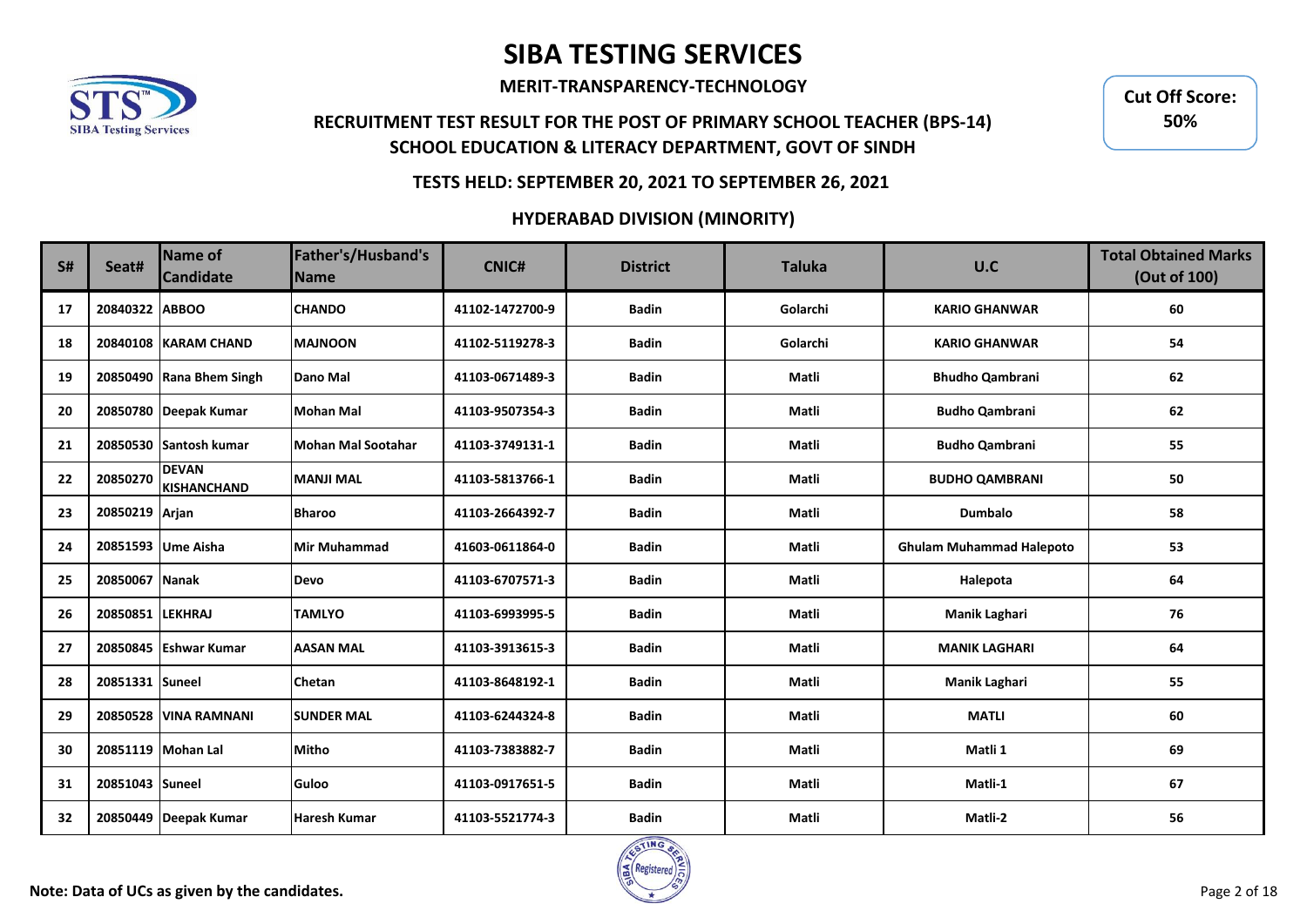

**MERIT-TRANSPARENCY-TECHNOLOGY**

## **RECRUITMENT TEST RESULT FOR THE POST OF PRIMARY SCHOOL TEACHER (BPS-14) SCHOOL EDUCATION & LITERACY DEPARTMENT, GOVT OF SINDH**

**Cut Off Score: 50%**

### **TESTS HELD: SEPTEMBER 20, 2021 TO SEPTEMBER 26, 2021**

| S# | Seat#            | <b>Name of</b><br><b>Candidate</b> | Father's/Husband's<br><b>Name</b> | <b>CNIC#</b>    | <b>District</b> | <b>Taluka</b> | U.C                             | <b>Total Obtained Marks</b><br>(Out of 100) |
|----|------------------|------------------------------------|-----------------------------------|-----------------|-----------------|---------------|---------------------------------|---------------------------------------------|
| 17 | 20840322 ABBOO   |                                    | <b>CHANDO</b>                     | 41102-1472700-9 | <b>Badin</b>    | Golarchi      | <b>KARIO GHANWAR</b>            | 60                                          |
| 18 |                  | 20840108 KARAM CHAND               | <b>MAJNOON</b>                    | 41102-5119278-3 | <b>Badin</b>    | Golarchi      | <b>KARIO GHANWAR</b>            | 54                                          |
| 19 |                  | 20850490 Rana Bhem Singh           | Dano Mal                          | 41103-0671489-3 | <b>Badin</b>    | Matli         | <b>Bhudho Qambrani</b>          | 62                                          |
| 20 |                  | 20850780 Deepak Kumar              | <b>Mohan Mal</b>                  | 41103-9507354-3 | <b>Badin</b>    | Matli         | <b>Budho Qambrani</b>           | 62                                          |
| 21 |                  | 20850530 Santosh kumar             | <b>Mohan Mal Sootahar</b>         | 41103-3749131-1 | <b>Badin</b>    | Matli         | <b>Budho Qambrani</b>           | 55                                          |
| 22 | 20850270         | <b>DEVAN</b><br><b>KISHANCHAND</b> | <b>MANJI MAL</b>                  | 41103-5813766-1 | <b>Badin</b>    | Matli         | <b>BUDHO QAMBRANI</b>           | 50                                          |
| 23 | 20850219 Arjan   |                                    | <b>Bharoo</b>                     | 41103-2664392-7 | <b>Badin</b>    | Matli         | <b>Dumbalo</b>                  | 58                                          |
| 24 |                  | 20851593 Ume Aisha                 | Mir Muhammad                      | 41603-0611864-0 | <b>Badin</b>    | Matli         | <b>Ghulam Muhammad Halepoto</b> | 53                                          |
| 25 | 20850067 Nanak   |                                    | <b>Devo</b>                       | 41103-6707571-3 | <b>Badin</b>    | Matli         | Halepota                        | 64                                          |
| 26 | 20850851 LEKHRAJ |                                    | <b>TAMLYO</b>                     | 41103-6993995-5 | <b>Badin</b>    | Matli         | Manik Laghari                   | 76                                          |
| 27 |                  | 20850845 Eshwar Kumar              | <b>AASAN MAL</b>                  | 41103-3913615-3 | <b>Badin</b>    | Matli         | <b>MANIK LAGHARI</b>            | 64                                          |
| 28 | 20851331 Suneel  |                                    | <b>Chetan</b>                     | 41103-8648192-1 | <b>Badin</b>    | Matli         | Manik Laghari                   | 55                                          |
| 29 |                  | 20850528 VINA RAMNANI              | <b>SUNDER MAL</b>                 | 41103-6244324-8 | <b>Badin</b>    | Matli         | <b>MATLI</b>                    | 60                                          |
| 30 |                  | 20851119 Mohan Lal                 | <b>Mitho</b>                      | 41103-7383882-7 | <b>Badin</b>    | Matli         | Matli 1                         | 69                                          |
| 31 | 20851043 Suneel  |                                    | <b>Guloo</b>                      | 41103-0917651-5 | <b>Badin</b>    | Matli         | Matli-1                         | 67                                          |
| 32 |                  | 20850449 Deepak Kumar              | <b>Haresh Kumar</b>               | 41103-5521774-3 | <b>Badin</b>    | Matli         | Matli-2                         | 56                                          |

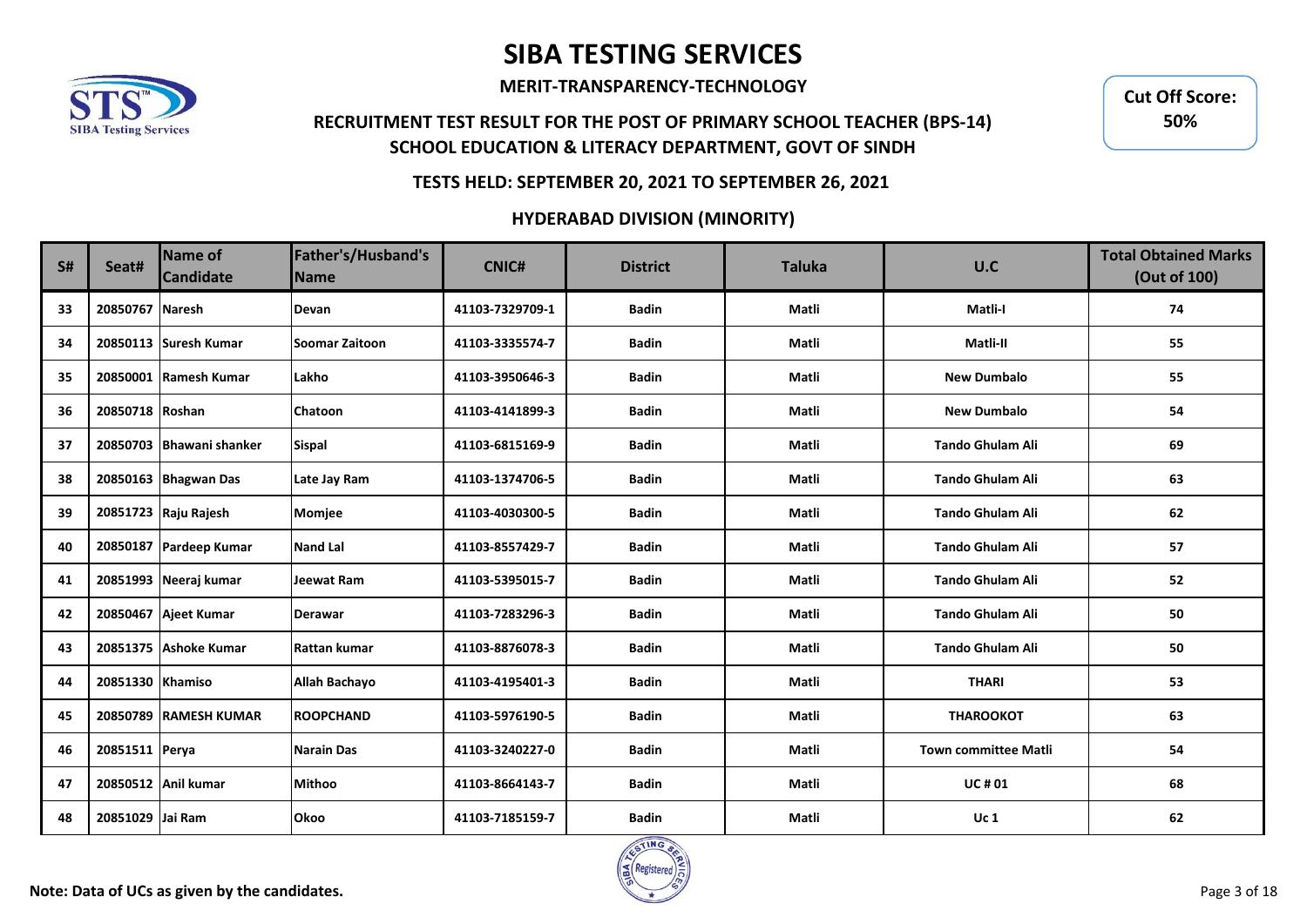

**MERIT-TRANSPARENCY-TECHNOLOGY**

## **RECRUITMENT TEST RESULT FOR THE POST OF PRIMARY SCHOOL TEACHER (BPS-14) SCHOOL EDUCATION & LITERACY DEPARTMENT, GOVT OF SINDH**

**Cut Off Score: 50%**

### **TESTS HELD: SEPTEMBER 20, 2021 TO SEPTEMBER 26, 2021**

| <b>S#</b> | Seat#            | Name of<br><b>Candidate</b> | Father's/Husband's<br><b>Name</b> | <b>CNIC#</b>    | <b>District</b> | <b>Taluka</b> | U.C                         | <b>Total Obtained Marks</b><br>(Out of 100) |
|-----------|------------------|-----------------------------|-----------------------------------|-----------------|-----------------|---------------|-----------------------------|---------------------------------------------|
| 33        | 20850767 Naresh  |                             | <b>Devan</b>                      | 41103-7329709-1 | <b>Badin</b>    | Matli         | Matli-I                     | 74                                          |
| 34        |                  | 20850113 Suresh Kumar       | Soomar Zaitoon                    | 41103-3335574-7 | <b>Badin</b>    | Matli         | Matli-II                    | 55                                          |
| 35        |                  | 20850001 Ramesh Kumar       | Lakho                             | 41103-3950646-3 | <b>Badin</b>    | Matli         | <b>New Dumbalo</b>          | 55                                          |
| 36        | 20850718 Roshan  |                             | <b>Chatoon</b>                    | 41103-4141899-3 | <b>Badin</b>    | Matli         | <b>New Dumbalo</b>          | 54                                          |
| 37        |                  | 20850703 Bhawani shanker    | <b>Sispal</b>                     | 41103-6815169-9 | <b>Badin</b>    | Matli         | <b>Tando Ghulam Ali</b>     | 69                                          |
| 38        |                  | 20850163 Bhagwan Das        | Late Jay Ram                      | 41103-1374706-5 | <b>Badin</b>    | Matli         | Tando Ghulam Ali            | 63                                          |
| 39        |                  | 20851723 Raju Rajesh        | Momjee                            | 41103-4030300-5 | <b>Badin</b>    | Matli         | <b>Tando Ghulam Ali</b>     | 62                                          |
| 40        |                  | 20850187 Pardeep Kumar      | <b>Nand Lal</b>                   | 41103-8557429-7 | <b>Badin</b>    | Matli         | <b>Tando Ghulam Ali</b>     | 57                                          |
| 41        |                  | 20851993 Neeraj kumar       | Jeewat Ram                        | 41103-5395015-7 | <b>Badin</b>    | Matli         | Tando Ghulam Ali            | 52                                          |
| 42        |                  | 20850467 Ajeet Kumar        | <b>Derawar</b>                    | 41103-7283296-3 | <b>Badin</b>    | Matli         | Tando Ghulam Ali            | 50                                          |
| 43        |                  | 20851375 Ashoke Kumar       | Rattan kumar                      | 41103-8876078-3 | <b>Badin</b>    | Matli         | <b>Tando Ghulam Ali</b>     | 50                                          |
| 44        | 20851330 Khamiso |                             | Allah Bachayo                     | 41103-4195401-3 | <b>Badin</b>    | Matli         | <b>THARI</b>                | 53                                          |
| 45        |                  | 20850789 RAMESH KUMAR       | <b>ROOPCHAND</b>                  | 41103-5976190-5 | <b>Badin</b>    | Matli         | <b>THAROOKOT</b>            | 63                                          |
| 46        | 20851511 Perya   |                             | Narain Das                        | 41103-3240227-0 | <b>Badin</b>    | Matli         | <b>Town committee Matli</b> | 54                                          |
| 47        |                  | 20850512 Anil kumar         | <b>Mithoo</b>                     | 41103-8664143-7 | <b>Badin</b>    | Matli         | <b>UC#01</b>                | 68                                          |
| 48        | 20851029 Jai Ram |                             | <b>Okoo</b>                       | 41103-7185159-7 | <b>Badin</b>    | Matli         | <b>Uc 1</b>                 | 62                                          |

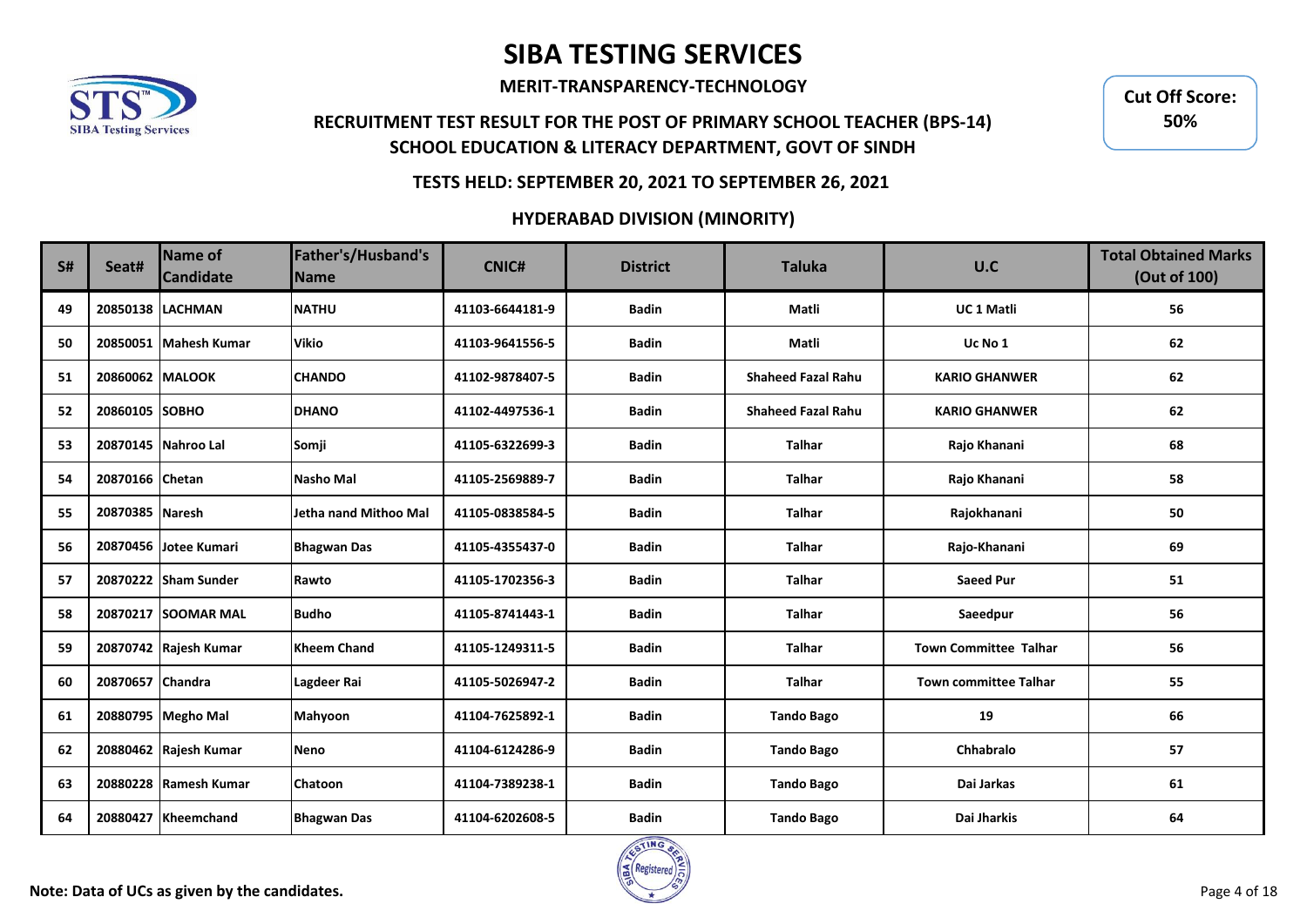

**MERIT-TRANSPARENCY-TECHNOLOGY**

## **RECRUITMENT TEST RESULT FOR THE POST OF PRIMARY SCHOOL TEACHER (BPS-14) SCHOOL EDUCATION & LITERACY DEPARTMENT, GOVT OF SINDH**

**Cut Off Score: 50%**

### **TESTS HELD: SEPTEMBER 20, 2021 TO SEPTEMBER 26, 2021**

| <b>S#</b> | Seat#            | <b>Name of</b><br><b>Candidate</b> | Father's/Husband's<br><b>Name</b> | <b>CNIC#</b>    | <b>District</b> | <b>Taluka</b>             | U.C                          | <b>Total Obtained Marks</b><br>(Out of 100) |
|-----------|------------------|------------------------------------|-----------------------------------|-----------------|-----------------|---------------------------|------------------------------|---------------------------------------------|
| 49        |                  | 20850138 LACHMAN                   | <b>NATHU</b>                      | 41103-6644181-9 | <b>Badin</b>    | Matli                     | <b>UC1 Matli</b>             | 56                                          |
| 50        |                  | 20850051 Mahesh Kumar              | <b>Vikio</b>                      | 41103-9641556-5 | <b>Badin</b>    | Matli                     | Uc No 1                      | 62                                          |
| 51        | 20860062 MALOOK  |                                    | <b>CHANDO</b>                     | 41102-9878407-5 | <b>Badin</b>    | <b>Shaheed Fazal Rahu</b> | <b>KARIO GHANWER</b>         | 62                                          |
| 52        | 20860105 SOBHO   |                                    | <b>DHANO</b>                      | 41102-4497536-1 | <b>Badin</b>    | <b>Shaheed Fazal Rahu</b> | <b>KARIO GHANWER</b>         | 62                                          |
| 53        |                  | 20870145 Nahroo Lal                | Somji                             | 41105-6322699-3 | <b>Badin</b>    | <b>Talhar</b>             | Rajo Khanani                 | 68                                          |
| 54        | 20870166 Chetan  |                                    | Nasho Mal                         | 41105-2569889-7 | <b>Badin</b>    | <b>Talhar</b>             | Rajo Khanani                 | 58                                          |
| 55        | 20870385 Naresh  |                                    | Jetha nand Mithoo Mal             | 41105-0838584-5 | <b>Badin</b>    | <b>Talhar</b>             | Rajokhanani                  | 50                                          |
| 56        |                  | 20870456 Jotee Kumari              | <b>Bhagwan Das</b>                | 41105-4355437-0 | <b>Badin</b>    | <b>Talhar</b>             | Rajo-Khanani                 | 69                                          |
| 57        |                  | 20870222 Sham Sunder               | Rawto                             | 41105-1702356-3 | <b>Badin</b>    | <b>Talhar</b>             | <b>Saeed Pur</b>             | 51                                          |
| 58        |                  | 20870217 SOOMAR MAL                | <b>Budho</b>                      | 41105-8741443-1 | <b>Badin</b>    | <b>Talhar</b>             | Saeedpur                     | 56                                          |
| 59        |                  | 20870742 Rajesh Kumar              | <b>Kheem Chand</b>                | 41105-1249311-5 | <b>Badin</b>    | <b>Talhar</b>             | <b>Town Committee Talhar</b> | 56                                          |
| 60        | 20870657 Chandra |                                    | Lagdeer Rai                       | 41105-5026947-2 | <b>Badin</b>    | <b>Talhar</b>             | <b>Town committee Talhar</b> | 55                                          |
| 61        |                  | 20880795 Megho Mal                 | Mahyoon                           | 41104-7625892-1 | <b>Badin</b>    | <b>Tando Bago</b>         | 19                           | 66                                          |
| 62        |                  | 20880462 Rajesh Kumar              | Neno                              | 41104-6124286-9 | <b>Badin</b>    | <b>Tando Bago</b>         | Chhabralo                    | 57                                          |
| 63        |                  | 20880228 Ramesh Kumar              | <b>Chatoon</b>                    | 41104-7389238-1 | <b>Badin</b>    | <b>Tando Bago</b>         | Dai Jarkas                   | 61                                          |
| 64        | 20880427         | <b>Kheemchand</b>                  | <b>Bhagwan Das</b>                | 41104-6202608-5 | <b>Badin</b>    | <b>Tando Bago</b>         | Dai Jharkis                  | 64                                          |

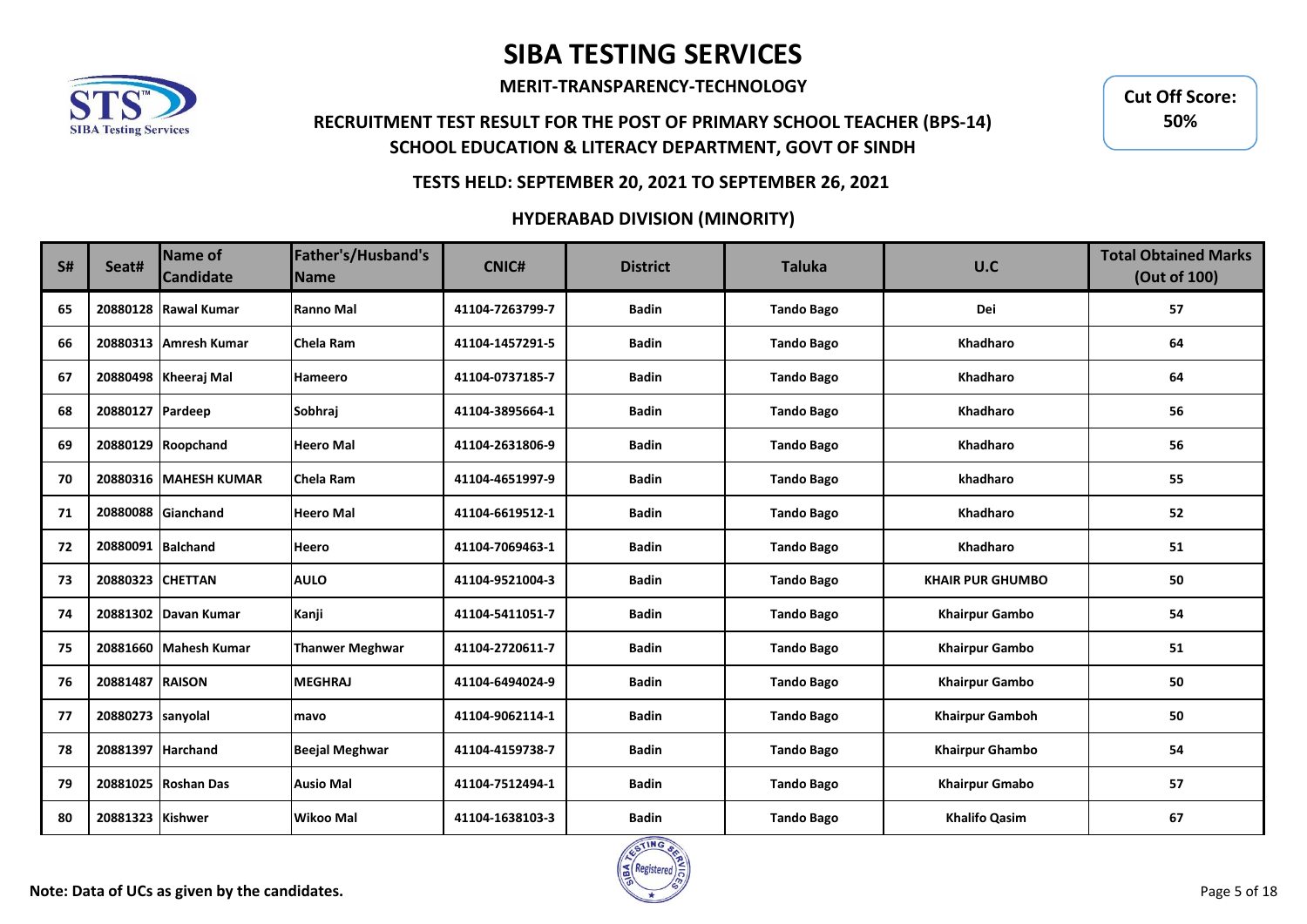

**MERIT-TRANSPARENCY-TECHNOLOGY**

## **RECRUITMENT TEST RESULT FOR THE POST OF PRIMARY SCHOOL TEACHER (BPS-14) SCHOOL EDUCATION & LITERACY DEPARTMENT, GOVT OF SINDH**

**Cut Off Score: 50%**

### **TESTS HELD: SEPTEMBER 20, 2021 TO SEPTEMBER 26, 2021**

| S# | Seat#             | Name of<br><b>Candidate</b> | Father's/Husband's<br><b>Name</b> | <b>CNIC#</b>    | <b>District</b> | <b>Taluka</b>     | U.C                     | <b>Total Obtained Marks</b><br>(Out of 100) |
|----|-------------------|-----------------------------|-----------------------------------|-----------------|-----------------|-------------------|-------------------------|---------------------------------------------|
| 65 |                   | 20880128 Rawal Kumar        | Ranno Mal                         | 41104-7263799-7 | <b>Badin</b>    | <b>Tando Bago</b> | Dei                     | 57                                          |
| 66 |                   | 20880313 Amresh Kumar       | Chela Ram                         | 41104-1457291-5 | <b>Badin</b>    | <b>Tando Bago</b> | Khadharo                | 64                                          |
| 67 |                   | 20880498 Kheeraj Mal        | <b>Hameero</b>                    | 41104-0737185-7 | <b>Badin</b>    | <b>Tando Bago</b> | Khadharo                | 64                                          |
| 68 | 20880127 Pardeep  |                             | Sobhraj                           | 41104-3895664-1 | <b>Badin</b>    | <b>Tando Bago</b> | <b>Khadharo</b>         | 56                                          |
| 69 |                   | 20880129 Roopchand          | <b>Heero Mal</b>                  | 41104-2631806-9 | <b>Badin</b>    | <b>Tando Bago</b> | <b>Khadharo</b>         | 56                                          |
| 70 |                   | 20880316 MAHESH KUMAR       | Chela Ram                         | 41104-4651997-9 | <b>Badin</b>    | <b>Tando Bago</b> | khadharo                | 55                                          |
| 71 |                   | 20880088 Gianchand          | <b>Heero Mal</b>                  | 41104-6619512-1 | <b>Badin</b>    | <b>Tando Bago</b> | Khadharo                | 52                                          |
| 72 | 20880091 Balchand |                             | Heero                             | 41104-7069463-1 | <b>Badin</b>    | <b>Tando Bago</b> | Khadharo                | 51                                          |
| 73 | 20880323 CHETTAN  |                             | <b>AULO</b>                       | 41104-9521004-3 | <b>Badin</b>    | <b>Tando Bago</b> | <b>KHAIR PUR GHUMBO</b> | 50                                          |
| 74 |                   | 20881302 Davan Kumar        | Kanji                             | 41104-5411051-7 | <b>Badin</b>    | <b>Tando Bago</b> | <b>Khairpur Gambo</b>   | 54                                          |
| 75 |                   | 20881660 Mahesh Kumar       | <b>Thanwer Meghwar</b>            | 41104-2720611-7 | <b>Badin</b>    | <b>Tando Bago</b> | <b>Khairpur Gambo</b>   | 51                                          |
| 76 | 20881487 RAISON   |                             | <b>MEGHRAJ</b>                    | 41104-6494024-9 | <b>Badin</b>    | <b>Tando Bago</b> | <b>Khairpur Gambo</b>   | 50                                          |
| 77 | 20880273 sanyolal |                             | mavo                              | 41104-9062114-1 | <b>Badin</b>    | <b>Tando Bago</b> | <b>Khairpur Gamboh</b>  | 50                                          |
| 78 | 20881397 Harchand |                             | <b>Beejal Meghwar</b>             | 41104-4159738-7 | <b>Badin</b>    | <b>Tando Bago</b> | <b>Khairpur Ghambo</b>  | 54                                          |
| 79 |                   | 20881025 Roshan Das         | <b>Ausio Mal</b>                  | 41104-7512494-1 | <b>Badin</b>    | <b>Tando Bago</b> | <b>Khairpur Gmabo</b>   | 57                                          |
| 80 | 20881323 Kishwer  |                             | <b>Wikoo Mal</b>                  | 41104-1638103-3 | <b>Badin</b>    | <b>Tando Bago</b> | <b>Khalifo Qasim</b>    | 67                                          |

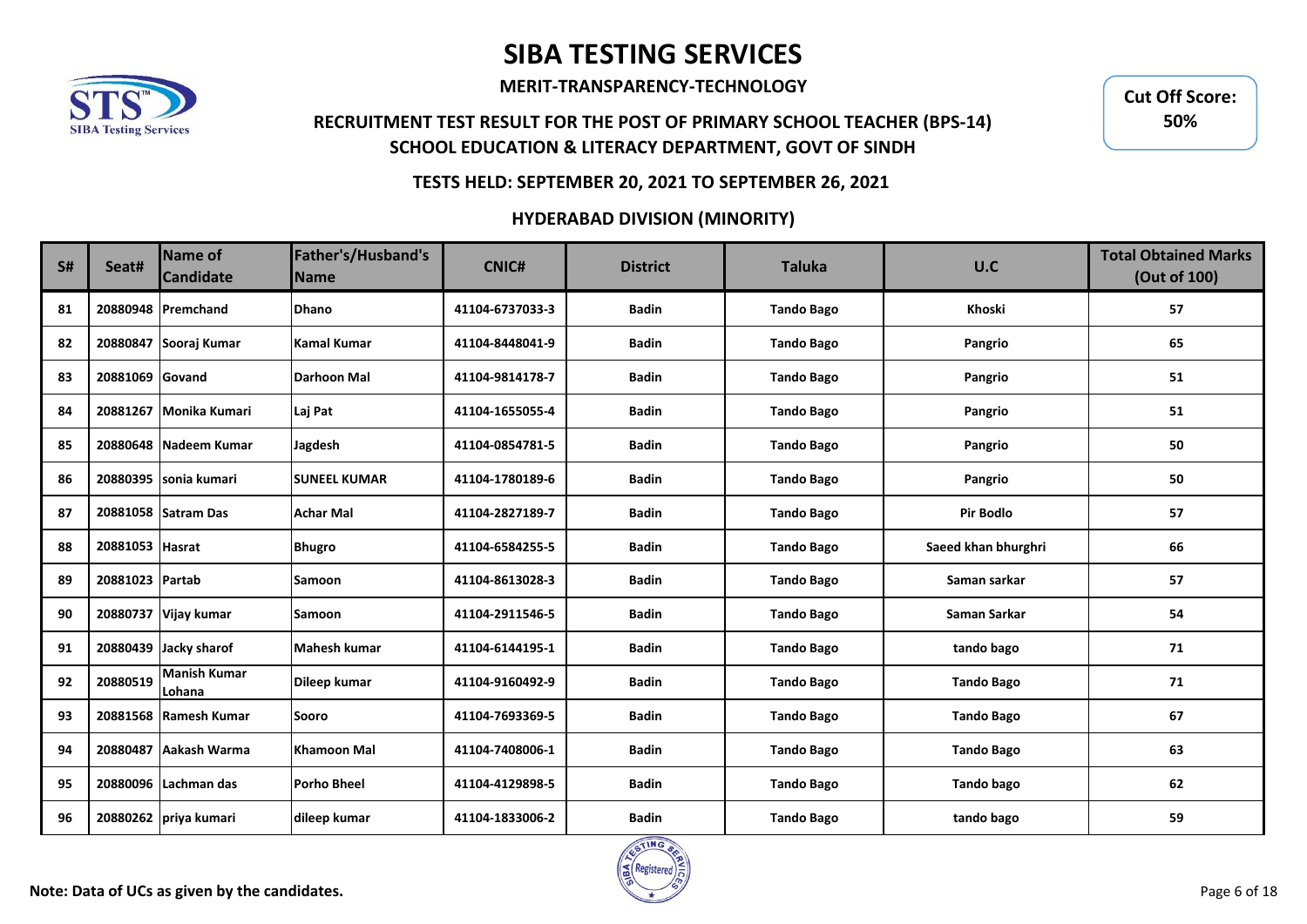

**MERIT-TRANSPARENCY-TECHNOLOGY**

## **RECRUITMENT TEST RESULT FOR THE POST OF PRIMARY SCHOOL TEACHER (BPS-14) SCHOOL EDUCATION & LITERACY DEPARTMENT, GOVT OF SINDH**

**Cut Off Score: 50%**

### **TESTS HELD: SEPTEMBER 20, 2021 TO SEPTEMBER 26, 2021**

| <b>S#</b> | Seat#           | Name of<br><b>Candidate</b>   | Father's/Husband's<br><b>Name</b> | <b>CNIC#</b>    | <b>District</b> | <b>Taluka</b>     | U.C                 | <b>Total Obtained Marks</b><br>(Out of 100) |
|-----------|-----------------|-------------------------------|-----------------------------------|-----------------|-----------------|-------------------|---------------------|---------------------------------------------|
| 81        |                 | 20880948 Premchand            | <b>Dhano</b>                      | 41104-6737033-3 | <b>Badin</b>    | <b>Tando Bago</b> | Khoski              | 57                                          |
| 82        |                 | 20880847 Sooraj Kumar         | <b>Kamal Kumar</b>                | 41104-8448041-9 | <b>Badin</b>    | <b>Tando Bago</b> | Pangrio             | 65                                          |
| 83        | 20881069 Govand |                               | <b>Darhoon Mal</b>                | 41104-9814178-7 | <b>Badin</b>    | <b>Tando Bago</b> | Pangrio             | 51                                          |
| 84        |                 | 20881267   Monika Kumari      | Laj Pat                           | 41104-1655055-4 | <b>Badin</b>    | <b>Tando Bago</b> | Pangrio             | 51                                          |
| 85        |                 | 20880648 Nadeem Kumar         | Jagdesh                           | 41104-0854781-5 | <b>Badin</b>    | <b>Tando Bago</b> | Pangrio             | 50                                          |
| 86        |                 | 20880395 Isonia kumari        | <b>SUNEEL KUMAR</b>               | 41104-1780189-6 | <b>Badin</b>    | <b>Tando Bago</b> | Pangrio             | 50                                          |
| 87        |                 | 20881058 Satram Das           | <b>Achar Mal</b>                  | 41104-2827189-7 | <b>Badin</b>    | <b>Tando Bago</b> | <b>Pir Bodlo</b>    | 57                                          |
| 88        | 20881053 Hasrat |                               | <b>Bhugro</b>                     | 41104-6584255-5 | <b>Badin</b>    | <b>Tando Bago</b> | Saeed khan bhurghri | 66                                          |
| 89        | 20881023 Partab |                               | Samoon                            | 41104-8613028-3 | <b>Badin</b>    | <b>Tando Bago</b> | Saman sarkar        | 57                                          |
| 90        |                 | 20880737 Vijay kumar          | Samoon                            | 41104-2911546-5 | <b>Badin</b>    | <b>Tando Bago</b> | Saman Sarkar        | 54                                          |
| 91        |                 | 20880439 Jacky sharof         | <b>Mahesh kumar</b>               | 41104-6144195-1 | <b>Badin</b>    | <b>Tando Bago</b> | tando bago          | 71                                          |
| 92        | 20880519        | <b>Manish Kumar</b><br>Lohana | Dileep kumar                      | 41104-9160492-9 | <b>Badin</b>    | <b>Tando Bago</b> | <b>Tando Bago</b>   | 71                                          |
| 93        |                 | 20881568 Ramesh Kumar         | Sooro                             | 41104-7693369-5 | <b>Badin</b>    | <b>Tando Bago</b> | <b>Tando Bago</b>   | 67                                          |
| 94        |                 | 20880487 Aakash Warma         | <b>Khamoon Mal</b>                | 41104-7408006-1 | <b>Badin</b>    | <b>Tando Bago</b> | <b>Tando Bago</b>   | 63                                          |
| 95        |                 | 20880096 Lachman das          | <b>Porho Bheel</b>                | 41104-4129898-5 | <b>Badin</b>    | <b>Tando Bago</b> | <b>Tando bago</b>   | 62                                          |
| 96        |                 | 20880262 priya kumari         | dileep kumar                      | 41104-1833006-2 | <b>Badin</b>    | <b>Tando Bago</b> | tando bago          | 59                                          |

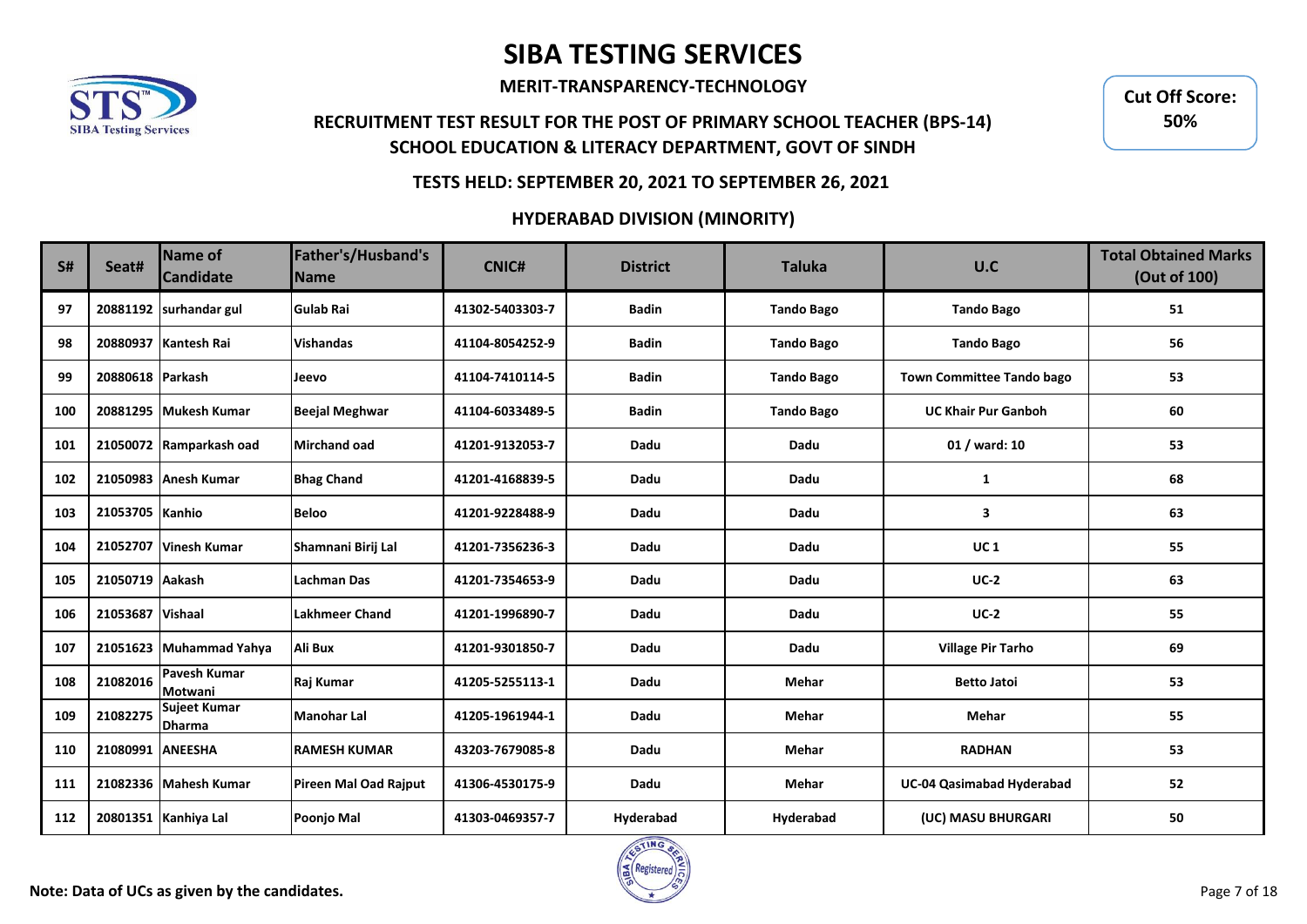

**MERIT-TRANSPARENCY-TECHNOLOGY**

## **RECRUITMENT TEST RESULT FOR THE POST OF PRIMARY SCHOOL TEACHER (BPS-14) SCHOOL EDUCATION & LITERACY DEPARTMENT, GOVT OF SINDH**

**Cut Off Score: 50%**

### **TESTS HELD: SEPTEMBER 20, 2021 TO SEPTEMBER 26, 2021**

| <b>S#</b> | Seat#            | <b>Name of</b><br><b>Candidate</b> | Father's/Husband's<br><b>Name</b> | <b>CNIC#</b>    | <b>District</b> | <b>Taluka</b>     | U.C                              | <b>Total Obtained Marks</b><br>(Out of 100) |
|-----------|------------------|------------------------------------|-----------------------------------|-----------------|-----------------|-------------------|----------------------------------|---------------------------------------------|
| 97        |                  | 20881192 surhandar gul             | <b>Gulab Rai</b>                  | 41302-5403303-7 | <b>Badin</b>    | <b>Tando Bago</b> | <b>Tando Bago</b>                | 51                                          |
| 98        |                  | 20880937 Kantesh Rai               | <b>Vishandas</b>                  | 41104-8054252-9 | <b>Badin</b>    | <b>Tando Bago</b> | <b>Tando Bago</b>                | 56                                          |
| 99        | 20880618 Parkash |                                    | Jeevo                             | 41104-7410114-5 | <b>Badin</b>    | <b>Tando Bago</b> | <b>Town Committee Tando bago</b> | 53                                          |
| 100       |                  | 20881295 Mukesh Kumar              | <b>Beejal Meghwar</b>             | 41104-6033489-5 | <b>Badin</b>    | <b>Tando Bago</b> | <b>UC Khair Pur Ganboh</b>       | 60                                          |
| 101       |                  | 21050072 Ramparkash oad            | <b>Mirchand oad</b>               | 41201-9132053-7 | Dadu            | Dadu              | 01 / ward: 10                    | 53                                          |
| 102       |                  | 21050983 Anesh Kumar               | <b>Bhag Chand</b>                 | 41201-4168839-5 | Dadu            | Dadu              | 1                                | 68                                          |
| 103       | 21053705 Kanhio  |                                    | <b>Beloo</b>                      | 41201-9228488-9 | Dadu            | Dadu              | 3                                | 63                                          |
| 104       | 21052707         | Vinesh Kumar                       | Shamnani Birij Lal                | 41201-7356236-3 | Dadu            | Dadu              | <b>UC1</b>                       | 55                                          |
| 105       | 21050719 Aakash  |                                    | <b>Lachman Das</b>                | 41201-7354653-9 | Dadu            | Dadu              | $UC-2$                           | 63                                          |
| 106       | 21053687 Vishaal |                                    | <b>Lakhmeer Chand</b>             | 41201-1996890-7 | Dadu            | Dadu              | $UC-2$                           | 55                                          |
| 107       |                  | 21051623 Muhammad Yahya            | Ali Bux                           | 41201-9301850-7 | Dadu            | Dadu              | <b>Village Pir Tarho</b>         | 69                                          |
| 108       | 21082016         | Pavesh Kumar<br>Motwani            | Raj Kumar                         | 41205-5255113-1 | Dadu            | Mehar             | <b>Betto Jatoi</b>               | 53                                          |
| 109       | 21082275         | Sujeet Kumar<br><b>Dharma</b>      | <b>Manohar Lal</b>                | 41205-1961944-1 | Dadu            | Mehar             | Mehar                            | 55                                          |
| 110       | 21080991 ANEESHA |                                    | <b>RAMESH KUMAR</b>               | 43203-7679085-8 | Dadu            | Mehar             | <b>RADHAN</b>                    | 53                                          |
| 111       |                  | 21082336 Mahesh Kumar              | Pireen Mal Oad Rajput             | 41306-4530175-9 | Dadu            | Mehar             | UC-04 Qasimabad Hyderabad        | 52                                          |
| 112       |                  | 20801351 Kanhiya Lal               | Poonjo Mal                        | 41303-0469357-7 | Hyderabad       | Hyderabad         | (UC) MASU BHURGARI               | 50                                          |

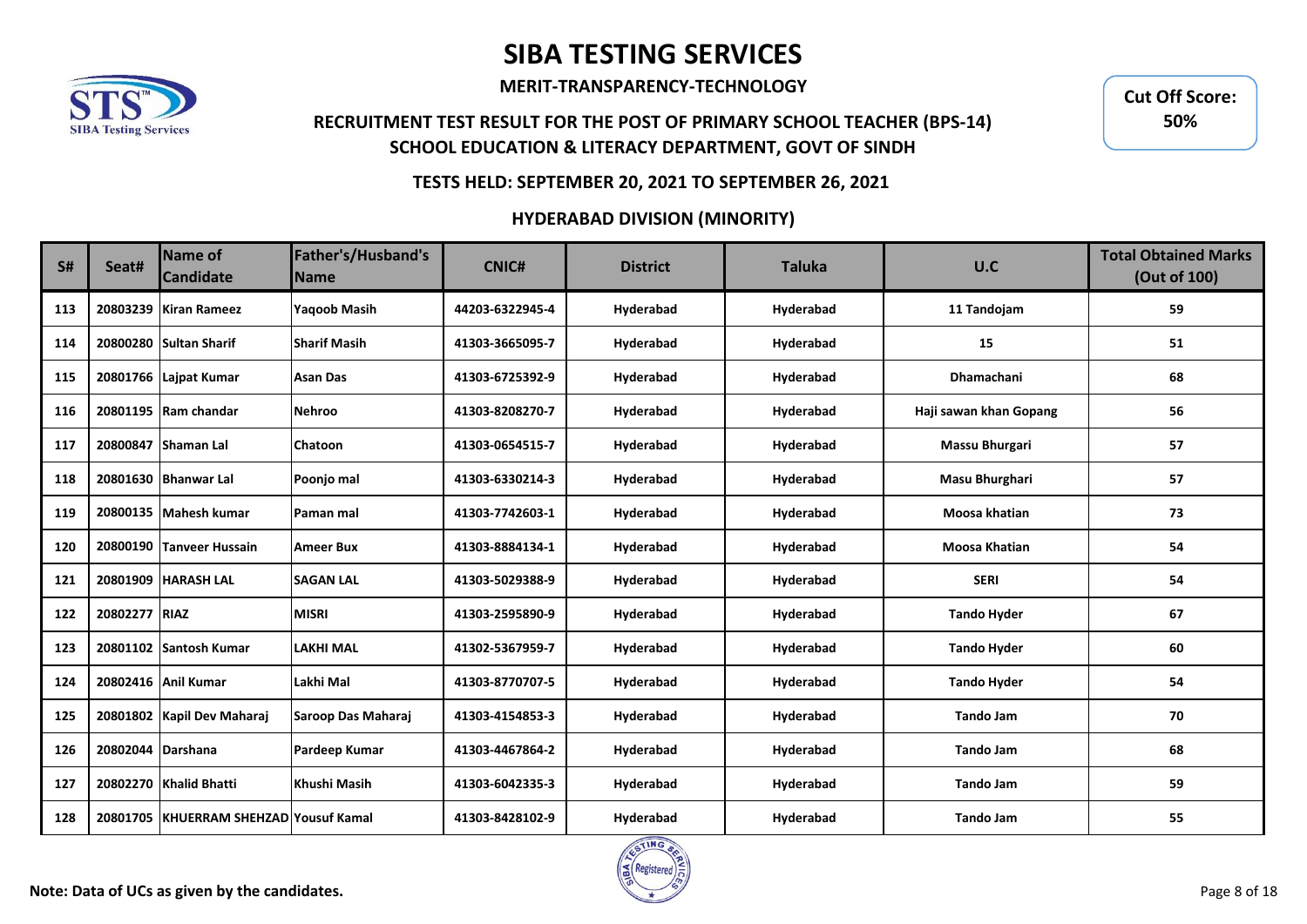

**MERIT-TRANSPARENCY-TECHNOLOGY**

## **RECRUITMENT TEST RESULT FOR THE POST OF PRIMARY SCHOOL TEACHER (BPS-14) SCHOOL EDUCATION & LITERACY DEPARTMENT, GOVT OF SINDH**

**Cut Off Score: 50%**

### **TESTS HELD: SEPTEMBER 20, 2021 TO SEPTEMBER 26, 2021**

| <b>S#</b> | Seat#             | Name of<br><b>Candidate</b>            | Father's/Husband's<br><b>Name</b> | <b>CNIC#</b>    | <b>District</b> | <b>Taluka</b> | U.C                    | <b>Total Obtained Marks</b><br>(Out of 100) |
|-----------|-------------------|----------------------------------------|-----------------------------------|-----------------|-----------------|---------------|------------------------|---------------------------------------------|
| 113       |                   | 20803239 Kiran Rameez                  | <b>Yagoob Masih</b>               | 44203-6322945-4 | Hyderabad       | Hyderabad     | 11 Tandojam            | 59                                          |
| 114       |                   | 20800280 Sultan Sharif                 | <b>Sharif Masih</b>               | 41303-3665095-7 | Hyderabad       | Hyderabad     | 15                     | 51                                          |
| 115       |                   | 20801766 Lajpat Kumar                  | <b>Asan Das</b>                   | 41303-6725392-9 | Hyderabad       | Hyderabad     | <b>Dhamachani</b>      | 68                                          |
| 116       |                   | 20801195 Ram chandar                   | <b>Nehroo</b>                     | 41303-8208270-7 | Hyderabad       | Hyderabad     | Haji sawan khan Gopang | 56                                          |
| 117       |                   | 20800847 Shaman Lal                    | <b>Chatoon</b>                    | 41303-0654515-7 | Hyderabad       | Hyderabad     | Massu Bhurgari         | 57                                          |
| 118       |                   | 20801630 Bhanwar Lal                   | Poonjo mal                        | 41303-6330214-3 | Hyderabad       | Hyderabad     | Masu Bhurghari         | 57                                          |
| 119       |                   | 20800135 Mahesh kumar                  | Paman mal                         | 41303-7742603-1 | Hyderabad       | Hyderabad     | Moosa khatian          | 73                                          |
| 120       |                   | 20800190 Tanveer Hussain               | <b>Ameer Bux</b>                  | 41303-8884134-1 | Hyderabad       | Hyderabad     | <b>Moosa Khatian</b>   | 54                                          |
| 121       |                   | 20801909 HARASH LAL                    | <b>SAGAN LAL</b>                  | 41303-5029388-9 | Hyderabad       | Hyderabad     | <b>SERI</b>            | 54                                          |
| 122       | 20802277 RIAZ     |                                        | <b>MISRI</b>                      | 41303-2595890-9 | Hyderabad       | Hyderabad     | <b>Tando Hyder</b>     | 67                                          |
| 123       |                   | 20801102 Santosh Kumar                 | LAKHI MAL                         | 41302-5367959-7 | Hyderabad       | Hyderabad     | <b>Tando Hyder</b>     | 60                                          |
| 124       |                   | 20802416 Anil Kumar                    | Lakhi Mal                         | 41303-8770707-5 | Hyderabad       | Hyderabad     | <b>Tando Hyder</b>     | 54                                          |
| 125       |                   | 20801802 Kapil Dev Maharaj             | Saroop Das Maharaj                | 41303-4154853-3 | Hyderabad       | Hyderabad     | <b>Tando Jam</b>       | 70                                          |
| 126       | 20802044 Darshana |                                        | Pardeep Kumar                     | 41303-4467864-2 | Hyderabad       | Hyderabad     | <b>Tando Jam</b>       | 68                                          |
| 127       |                   | 20802270 Khalid Bhatti                 | Khushi Masih                      | 41303-6042335-3 | Hyderabad       | Hyderabad     | <b>Tando Jam</b>       | 59                                          |
| 128       |                   | 20801705 KHUERRAM SHEHZAD Yousuf Kamal |                                   | 41303-8428102-9 | Hyderabad       | Hyderabad     | <b>Tando Jam</b>       | 55                                          |

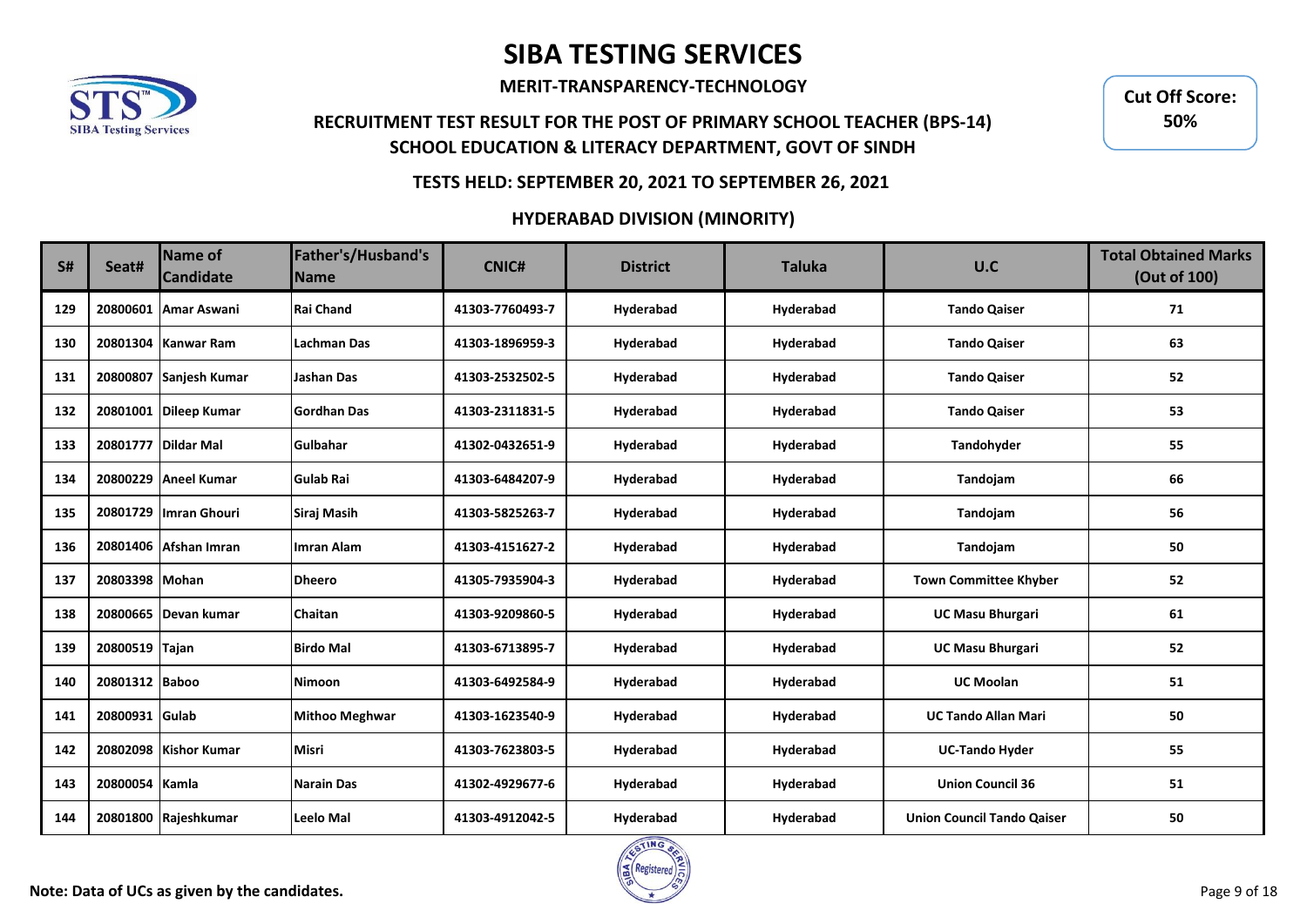

**MERIT-TRANSPARENCY-TECHNOLOGY**

## **RECRUITMENT TEST RESULT FOR THE POST OF PRIMARY SCHOOL TEACHER (BPS-14) SCHOOL EDUCATION & LITERACY DEPARTMENT, GOVT OF SINDH**

**Cut Off Score: 50%**

### **TESTS HELD: SEPTEMBER 20, 2021 TO SEPTEMBER 26, 2021**

| S#  | Seat#          | Name of<br><b>Candidate</b> | Father's/Husband's<br><b>Name</b> | <b>CNIC#</b>    | <b>District</b> | <b>Taluka</b> | U.C                               | <b>Total Obtained Marks</b><br>(Out of 100) |
|-----|----------------|-----------------------------|-----------------------------------|-----------------|-----------------|---------------|-----------------------------------|---------------------------------------------|
| 129 |                | 20800601 Amar Aswani        | <b>Rai Chand</b>                  | 41303-7760493-7 | Hyderabad       | Hyderabad     | <b>Tando Qaiser</b>               | 71                                          |
| 130 |                | 20801304 Kanwar Ram         | Lachman Das                       | 41303-1896959-3 | Hyderabad       | Hyderabad     | <b>Tando Qaiser</b>               | 63                                          |
| 131 |                | 20800807 Sanjesh Kumar      | <b>Jashan Das</b>                 | 41303-2532502-5 | Hyderabad       | Hyderabad     | <b>Tando Qaiser</b>               | 52                                          |
| 132 |                | 20801001 Dileep Kumar       | Gordhan Das                       | 41303-2311831-5 | Hyderabad       | Hyderabad     | <b>Tando Qaiser</b>               | 53                                          |
| 133 |                | 20801777 Dildar Mal         | Gulbahar                          | 41302-0432651-9 | Hyderabad       | Hyderabad     | Tandohyder                        | 55                                          |
| 134 |                | 20800229 Aneel Kumar        | <b>Gulab Rai</b>                  | 41303-6484207-9 | Hyderabad       | Hyderabad     | Tandojam                          | 66                                          |
| 135 |                | 20801729   Imran Ghouri     | Siraj Masih                       | 41303-5825263-7 | Hyderabad       | Hyderabad     | Tandojam                          | 56                                          |
| 136 |                | 20801406 Afshan Imran       | <b>Imran Alam</b>                 | 41303-4151627-2 | Hyderabad       | Hyderabad     | Tandojam                          | 50                                          |
| 137 | 20803398 Mohan |                             | <b>Dheero</b>                     | 41305-7935904-3 | Hyderabad       | Hyderabad     | <b>Town Committee Khyber</b>      | 52                                          |
| 138 |                | 20800665 Devan kumar        | Chaitan                           | 41303-9209860-5 | Hyderabad       | Hyderabad     | <b>UC Masu Bhurgari</b>           | 61                                          |
| 139 | 20800519 Tajan |                             | <b>Birdo Mal</b>                  | 41303-6713895-7 | Hyderabad       | Hyderabad     | <b>UC Masu Bhurgari</b>           | 52                                          |
| 140 | 20801312 Baboo |                             | <b>Nimoon</b>                     | 41303-6492584-9 | Hyderabad       | Hyderabad     | <b>UC Moolan</b>                  | 51                                          |
| 141 | 20800931 Gulab |                             | <b>Mithoo Meghwar</b>             | 41303-1623540-9 | Hyderabad       | Hyderabad     | <b>UC Tando Allan Mari</b>        | 50                                          |
| 142 |                | 20802098 Kishor Kumar       | <b>Misri</b>                      | 41303-7623803-5 | Hyderabad       | Hyderabad     | <b>UC-Tando Hyder</b>             | 55                                          |
| 143 | 20800054 Kamla |                             | <b>Narain Das</b>                 | 41302-4929677-6 | Hyderabad       | Hyderabad     | <b>Union Council 36</b>           | 51                                          |
| 144 |                | 20801800 Rajeshkumar        | <b>Leelo Mal</b>                  | 41303-4912042-5 | Hyderabad       | Hyderabad     | <b>Union Council Tando Qaiser</b> | 50                                          |

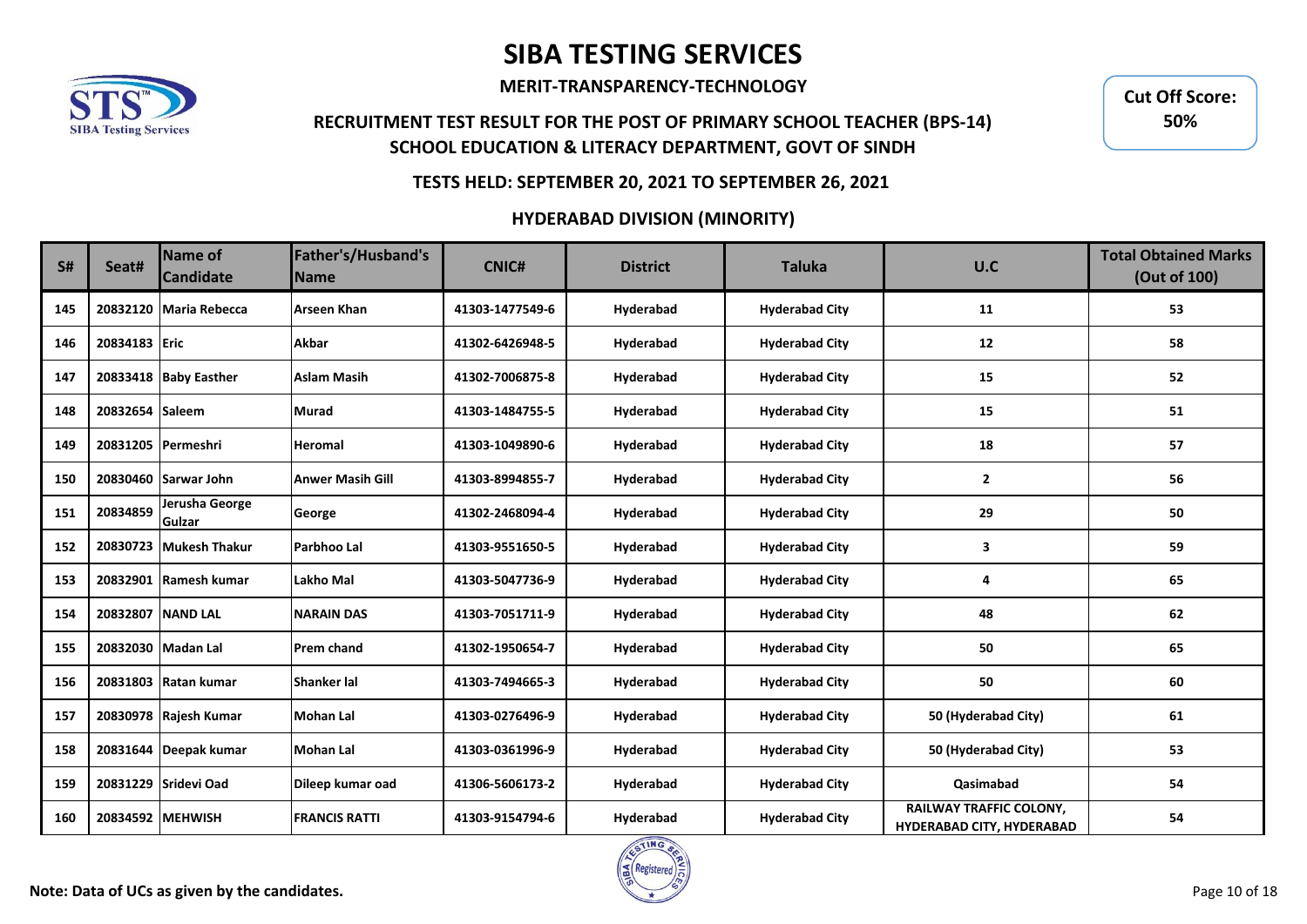

**MERIT-TRANSPARENCY-TECHNOLOGY**

## **RECRUITMENT TEST RESULT FOR THE POST OF PRIMARY SCHOOL TEACHER (BPS-14) SCHOOL EDUCATION & LITERACY DEPARTMENT, GOVT OF SINDH**

**Cut Off Score: 50%**

### **TESTS HELD: SEPTEMBER 20, 2021 TO SEPTEMBER 26, 2021**

| <b>S#</b> | Seat#             | <b>Name of</b><br><b>Candidate</b> | Father's/Husband's<br><b>Name</b> | <b>CNIC#</b>    | <b>District</b> | <b>Taluka</b>         | U.C                                                         | <b>Total Obtained Marks</b><br>(Out of 100) |
|-----------|-------------------|------------------------------------|-----------------------------------|-----------------|-----------------|-----------------------|-------------------------------------------------------------|---------------------------------------------|
| 145       |                   | 20832120 Maria Rebecca             | <b>Arseen Khan</b>                | 41303-1477549-6 | Hyderabad       | <b>Hyderabad City</b> | 11                                                          | 53                                          |
| 146       | 20834183 Eric     |                                    | <b>Akbar</b>                      | 41302-6426948-5 | Hyderabad       | <b>Hyderabad City</b> | 12                                                          | 58                                          |
| 147       |                   | 20833418 Baby Easther              | <b>Aslam Masih</b>                | 41302-7006875-8 | Hyderabad       | <b>Hyderabad City</b> | 15                                                          | 52                                          |
| 148       | 20832654 Saleem   |                                    | <b>Murad</b>                      | 41303-1484755-5 | Hyderabad       | <b>Hyderabad City</b> | 15                                                          | 51                                          |
| 149       |                   | 20831205 Permeshri                 | <b>Heromal</b>                    | 41303-1049890-6 | Hyderabad       | <b>Hyderabad City</b> | 18                                                          | 57                                          |
| 150       |                   | 20830460 Sarwar John               | <b>Anwer Masih Gill</b>           | 41303-8994855-7 | Hyderabad       | <b>Hyderabad City</b> | $\overline{2}$                                              | 56                                          |
| 151       | 20834859          | Jerusha George<br>Gulzar           | George                            | 41302-2468094-4 | Hyderabad       | <b>Hyderabad City</b> | 29                                                          | 50                                          |
| 152       |                   | 20830723 Mukesh Thakur             | Parbhoo Lal                       | 41303-9551650-5 | Hyderabad       | <b>Hyderabad City</b> | 3                                                           | 59                                          |
| 153       |                   | 20832901 Ramesh kumar              | <b>Lakho Mal</b>                  | 41303-5047736-9 | Hyderabad       | <b>Hyderabad City</b> | 4                                                           | 65                                          |
| 154       | 20832807 NAND LAL |                                    | <b>NARAIN DAS</b>                 | 41303-7051711-9 | Hyderabad       | <b>Hyderabad City</b> | 48                                                          | 62                                          |
| 155       |                   | 20832030 Madan Lal                 | <b>Prem chand</b>                 | 41302-1950654-7 | Hyderabad       | <b>Hyderabad City</b> | 50                                                          | 65                                          |
| 156       |                   | 20831803 Ratan kumar               | Shanker lal                       | 41303-7494665-3 | Hyderabad       | <b>Hyderabad City</b> | 50                                                          | 60                                          |
| 157       |                   | 20830978 Rajesh Kumar              | Mohan Lal                         | 41303-0276496-9 | Hyderabad       | <b>Hyderabad City</b> | 50 (Hyderabad City)                                         | 61                                          |
| 158       |                   | 20831644 Deepak kumar              | Mohan Lal                         | 41303-0361996-9 | Hyderabad       | <b>Hyderabad City</b> | 50 (Hyderabad City)                                         | 53                                          |
| 159       |                   | 20831229 Sridevi Oad               | Dileep kumar oad                  | 41306-5606173-2 | Hyderabad       | <b>Hyderabad City</b> | Qasimabad                                                   | 54                                          |
| 160       |                   | 20834592 MEHWISH                   | <b>FRANCIS RATTI</b>              | 41303-9154794-6 | Hyderabad       | <b>Hyderabad City</b> | RAILWAY TRAFFIC COLONY,<br><b>HYDERABAD CITY, HYDERABAD</b> | 54                                          |

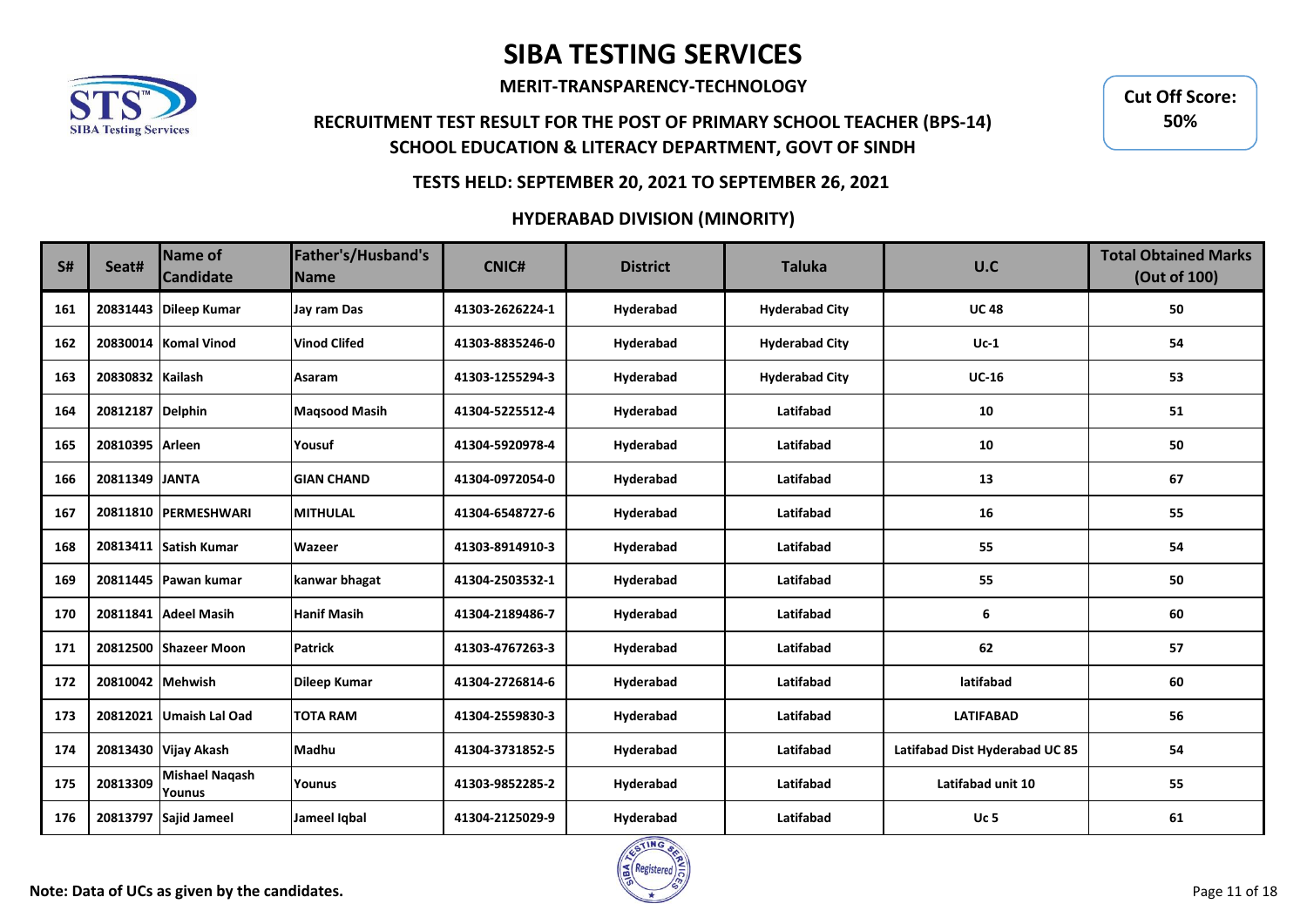

**MERIT-TRANSPARENCY-TECHNOLOGY**

## **RECRUITMENT TEST RESULT FOR THE POST OF PRIMARY SCHOOL TEACHER (BPS-14) SCHOOL EDUCATION & LITERACY DEPARTMENT, GOVT OF SINDH**

**Cut Off Score: 50%**

### **TESTS HELD: SEPTEMBER 20, 2021 TO SEPTEMBER 26, 2021**

| <b>S#</b> | Seat#            | Name of<br><b>Candidate</b>     | Father's/Husband's<br><b>Name</b> | <b>CNIC#</b>    | <b>District</b> | <b>Taluka</b>         | U.C                            | <b>Total Obtained Marks</b><br>(Out of 100) |
|-----------|------------------|---------------------------------|-----------------------------------|-----------------|-----------------|-----------------------|--------------------------------|---------------------------------------------|
| 161       |                  | 20831443 Dileep Kumar           | Jay ram Das                       | 41303-2626224-1 | Hyderabad       | <b>Hyderabad City</b> | <b>UC48</b>                    | 50                                          |
| 162       |                  | 20830014 Komal Vinod            | <b>Vinod Clifed</b>               | 41303-8835246-0 | Hyderabad       | <b>Hyderabad City</b> | $Uc-1$                         | 54                                          |
| 163       | 20830832 Kailash |                                 | Asaram                            | 41303-1255294-3 | Hyderabad       | <b>Hyderabad City</b> | $UC-16$                        | 53                                          |
| 164       | 20812187 Delphin |                                 | <b>Maqsood Masih</b>              | 41304-5225512-4 | Hyderabad       | Latifabad             | 10                             | 51                                          |
| 165       | 20810395 Arleen  |                                 | Yousuf                            | 41304-5920978-4 | Hyderabad       | Latifabad             | 10                             | 50                                          |
| 166       | 20811349 JANTA   |                                 | <b>GIAN CHAND</b>                 | 41304-0972054-0 | Hyderabad       | Latifabad             | 13                             | 67                                          |
| 167       |                  | 20811810 PERMESHWARI            | <b>MITHULAL</b>                   | 41304-6548727-6 | Hyderabad       | Latifabad             | 16                             | 55                                          |
| 168       |                  | 20813411 Satish Kumar           | <b>Wazeer</b>                     | 41303-8914910-3 | Hyderabad       | Latifabad             | 55                             | 54                                          |
| 169       |                  | 20811445 Pawan kumar            | kanwar bhagat                     | 41304-2503532-1 | Hyderabad       | Latifabad             | 55                             | 50                                          |
| 170       |                  | 20811841 Adeel Masih            | <b>Hanif Masih</b>                | 41304-2189486-7 | Hyderabad       | Latifabad             | 6                              | 60                                          |
| 171       |                  | 20812500 Shazeer Moon           | <b>Patrick</b>                    | 41303-4767263-3 | Hyderabad       | Latifabad             | 62                             | 57                                          |
| 172       | 20810042 Mehwish |                                 | <b>Dileep Kumar</b>               | 41304-2726814-6 | Hyderabad       | Latifabad             | latifabad                      | 60                                          |
| 173       |                  | 20812021 Umaish Lal Oad         | <b>TOTA RAM</b>                   | 41304-2559830-3 | Hyderabad       | Latifabad             | <b>LATIFABAD</b>               | 56                                          |
| 174       |                  | 20813430 Vijay Akash            | Madhu                             | 41304-3731852-5 | Hyderabad       | Latifabad             | Latifabad Dist Hyderabad UC 85 | 54                                          |
| 175       | 20813309         | <b>Mishael Naqash</b><br>Younus | Younus                            | 41303-9852285-2 | Hyderabad       | Latifabad             | Latifabad unit 10              | 55                                          |
| 176       |                  | 20813797 Sajid Jameel           | Jameel Iqbal                      | 41304-2125029-9 | Hyderabad       | Latifabad             | <b>Uc 5</b>                    | 61                                          |

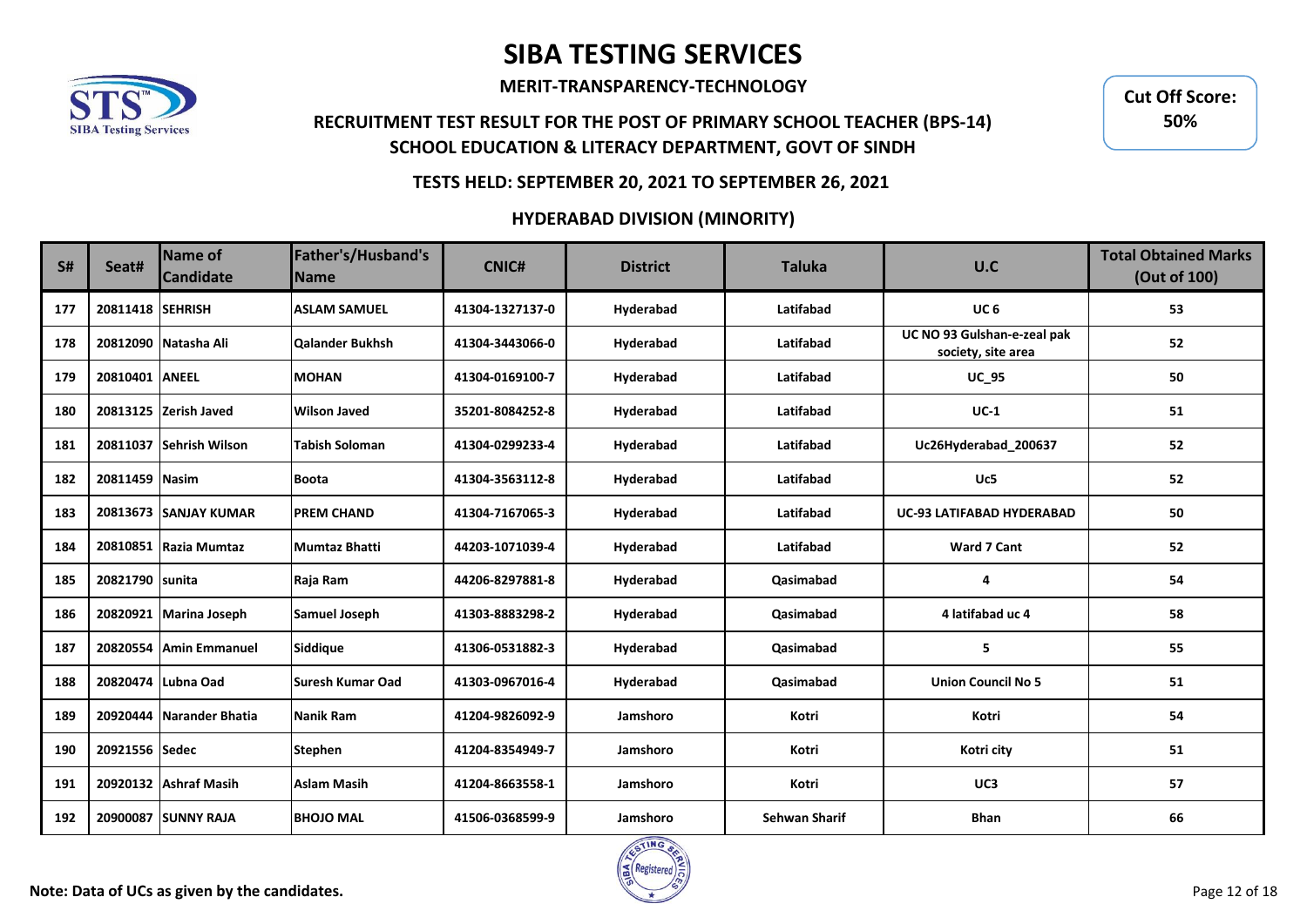

**MERIT-TRANSPARENCY-TECHNOLOGY**

## **RECRUITMENT TEST RESULT FOR THE POST OF PRIMARY SCHOOL TEACHER (BPS-14) SCHOOL EDUCATION & LITERACY DEPARTMENT, GOVT OF SINDH**

**Cut Off Score: 50%**

### **TESTS HELD: SEPTEMBER 20, 2021 TO SEPTEMBER 26, 2021**

| <b>S#</b> | Seat#            | Name of<br><b>Candidate</b> | Father's/Husband's<br><b>Name</b> | <b>CNIC#</b>    | <b>District</b> | <b>Taluka</b>        | U.C                                               | <b>Total Obtained Marks</b><br>(Out of 100) |
|-----------|------------------|-----------------------------|-----------------------------------|-----------------|-----------------|----------------------|---------------------------------------------------|---------------------------------------------|
| 177       | 20811418 SEHRISH |                             | <b>ASLAM SAMUEL</b>               | 41304-1327137-0 | Hyderabad       | Latifabad            | UC <sub>6</sub>                                   | 53                                          |
| 178       |                  | 20812090 Natasha Ali        | Qalander Bukhsh                   | 41304-3443066-0 | Hyderabad       | Latifabad            | UC NO 93 Gulshan-e-zeal pak<br>society, site area | 52                                          |
| 179       | 20810401 ANEEL   |                             | <b>MOHAN</b>                      | 41304-0169100-7 | Hyderabad       | Latifabad            | <b>UC_95</b>                                      | 50                                          |
| 180       |                  | 20813125 Zerish Javed       | <b>Wilson Javed</b>               | 35201-8084252-8 | Hyderabad       | Latifabad            | $UC-1$                                            | 51                                          |
| 181       |                  | 20811037 Sehrish Wilson     | <b>Tabish Soloman</b>             | 41304-0299233-4 | Hyderabad       | Latifabad            | Uc26Hyderabad_200637                              | 52                                          |
| 182       | 20811459 Nasim   |                             | <b>Boota</b>                      | 41304-3563112-8 | Hyderabad       | Latifabad            | Uc5                                               | 52                                          |
| 183       |                  | 20813673 SANJAY KUMAR       | <b>PREM CHAND</b>                 | 41304-7167065-3 | Hyderabad       | Latifabad            | <b>UC-93 LATIFABAD HYDERABAD</b>                  | 50                                          |
| 184       | 20810851         | Razia Mumtaz                | <b>Mumtaz Bhatti</b>              | 44203-1071039-4 | Hyderabad       | Latifabad            | Ward 7 Cant                                       | 52                                          |
| 185       | 20821790 sunita  |                             | Raja Ram                          | 44206-8297881-8 | Hyderabad       | Qasimabad            | 4                                                 | 54                                          |
| 186       |                  | 20820921 Marina Joseph      | <b>Samuel Joseph</b>              | 41303-8883298-2 | Hyderabad       | <b>Qasimabad</b>     | 4 latifabad uc 4                                  | 58                                          |
| 187       | 20820554         | Amin Emmanuel               | Siddique                          | 41306-0531882-3 | Hyderabad       | Qasimabad            | 5                                                 | 55                                          |
| 188       |                  | 20820474 Lubna Oad          | Suresh Kumar Oad                  | 41303-0967016-4 | Hyderabad       | Qasimabad            | <b>Union Council No 5</b>                         | 51                                          |
| 189       |                  | 20920444 Narander Bhatia    | Nanik Ram                         | 41204-9826092-9 | Jamshoro        | Kotri                | Kotri                                             | 54                                          |
| 190       | 20921556 Sedec   |                             | <b>Stephen</b>                    | 41204-8354949-7 | Jamshoro        | Kotri                | Kotri city                                        | 51                                          |
| 191       |                  | 20920132 Ashraf Masih       | <b>Aslam Masih</b>                | 41204-8663558-1 | Jamshoro        | Kotri                | UC3                                               | 57                                          |
| 192       |                  | 20900087 SUNNY RAJA         | <b>BHOJO MAL</b>                  | 41506-0368599-9 | Jamshoro        | <b>Sehwan Sharif</b> | <b>Bhan</b>                                       | 66                                          |

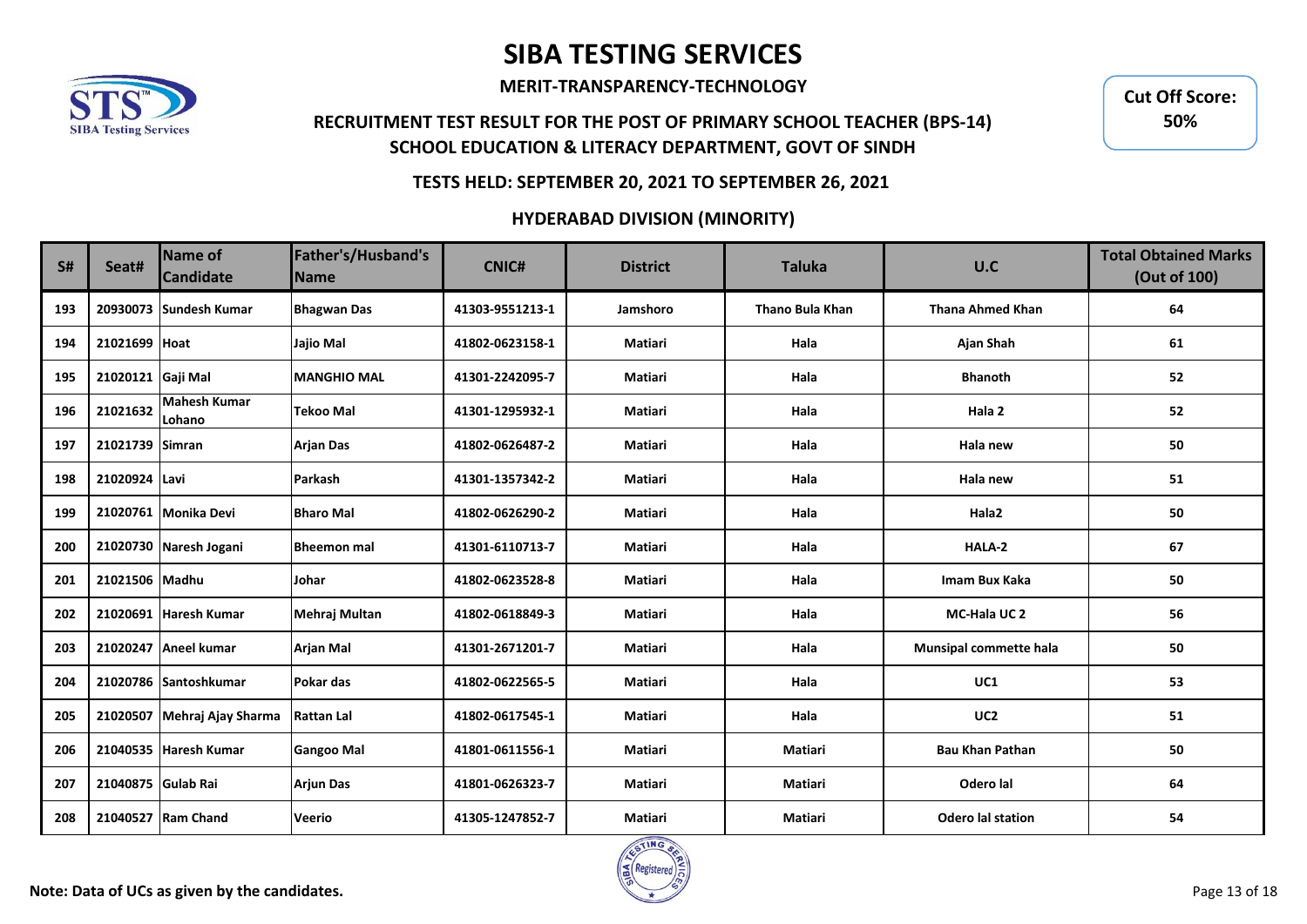

**MERIT-TRANSPARENCY-TECHNOLOGY**

## **RECRUITMENT TEST RESULT FOR THE POST OF PRIMARY SCHOOL TEACHER (BPS-14) SCHOOL EDUCATION & LITERACY DEPARTMENT, GOVT OF SINDH**

**Cut Off Score: 50%**

### **TESTS HELD: SEPTEMBER 20, 2021 TO SEPTEMBER 26, 2021**

| <b>S#</b> | Seat#              | Name of<br><b>Candidate</b>   | Father's/Husband's<br><b>Name</b> | <b>CNIC#</b>    | <b>District</b> | <b>Taluka</b>   | U.C                           | <b>Total Obtained Marks</b><br>(Out of 100) |
|-----------|--------------------|-------------------------------|-----------------------------------|-----------------|-----------------|-----------------|-------------------------------|---------------------------------------------|
| 193       |                    | 20930073 Sundesh Kumar        | <b>Bhagwan Das</b>                | 41303-9551213-1 | Jamshoro        | Thano Bula Khan | <b>Thana Ahmed Khan</b>       | 64                                          |
| 194       | 21021699 Hoat      |                               | Jajio Mal                         | 41802-0623158-1 | Matiari         | Hala            | <b>Ajan Shah</b>              | 61                                          |
| 195       | 21020121 Gaji Mal  |                               | <b>MANGHIO MAL</b>                | 41301-2242095-7 | Matiari         | Hala            | <b>Bhanoth</b>                | 52                                          |
| 196       | 21021632           | <b>Mahesh Kumar</b><br>Lohano | <b>Tekoo Mal</b>                  | 41301-1295932-1 | <b>Matiari</b>  | Hala            | Hala 2                        | 52                                          |
| 197       | 21021739 Simran    |                               | <b>Arjan Das</b>                  | 41802-0626487-2 | <b>Matiari</b>  | Hala            | Hala new                      | 50                                          |
| 198       | 21020924 Lavi      |                               | <b>Parkash</b>                    | 41301-1357342-2 | <b>Matiari</b>  | Hala            | Hala new                      | 51                                          |
| 199       |                    | 21020761 Monika Devi          | <b>Bharo Mal</b>                  | 41802-0626290-2 | <b>Matiari</b>  | Hala            | Hala <sub>2</sub>             | 50                                          |
| 200       |                    | 21020730 Naresh Jogani        | <b>Bheemon mal</b>                | 41301-6110713-7 | <b>Matiari</b>  | Hala            | HALA-2                        | 67                                          |
| 201       | 21021506 Madhu     |                               | Johar                             | 41802-0623528-8 | <b>Matiari</b>  | Hala            | Imam Bux Kaka                 | 50                                          |
| 202       |                    | 21020691 Haresh Kumar         | Mehraj Multan                     | 41802-0618849-3 | <b>Matiari</b>  | Hala            | MC-Hala UC 2                  | 56                                          |
| 203       |                    | 21020247 Aneel kumar          | <b>Arjan Mal</b>                  | 41301-2671201-7 | Matiari         | Hala            | <b>Munsipal commette hala</b> | 50                                          |
| 204       |                    | 21020786 Santoshkumar         | Pokar das                         | 41802-0622565-5 | Matiari         | Hala            | UC1                           | 53                                          |
| 205       |                    | 21020507 Mehraj Ajay Sharma   | <b>Rattan Lal</b>                 | 41802-0617545-1 | <b>Matiari</b>  | Hala            | UC <sub>2</sub>               | 51                                          |
| 206       |                    | 21040535 Haresh Kumar         | <b>Gangoo Mal</b>                 | 41801-0611556-1 | <b>Matiari</b>  | Matiari         | <b>Bau Khan Pathan</b>        | 50                                          |
| 207       | 21040875 Gulab Rai |                               | <b>Arjun Das</b>                  | 41801-0626323-7 | <b>Matiari</b>  | Matiari         | Odero lal                     | 64                                          |
| 208       |                    | 21040527 Ram Chand            | <b>Veerio</b>                     | 41305-1247852-7 | <b>Matiari</b>  | <b>Matiari</b>  | <b>Odero lal station</b>      | 54                                          |

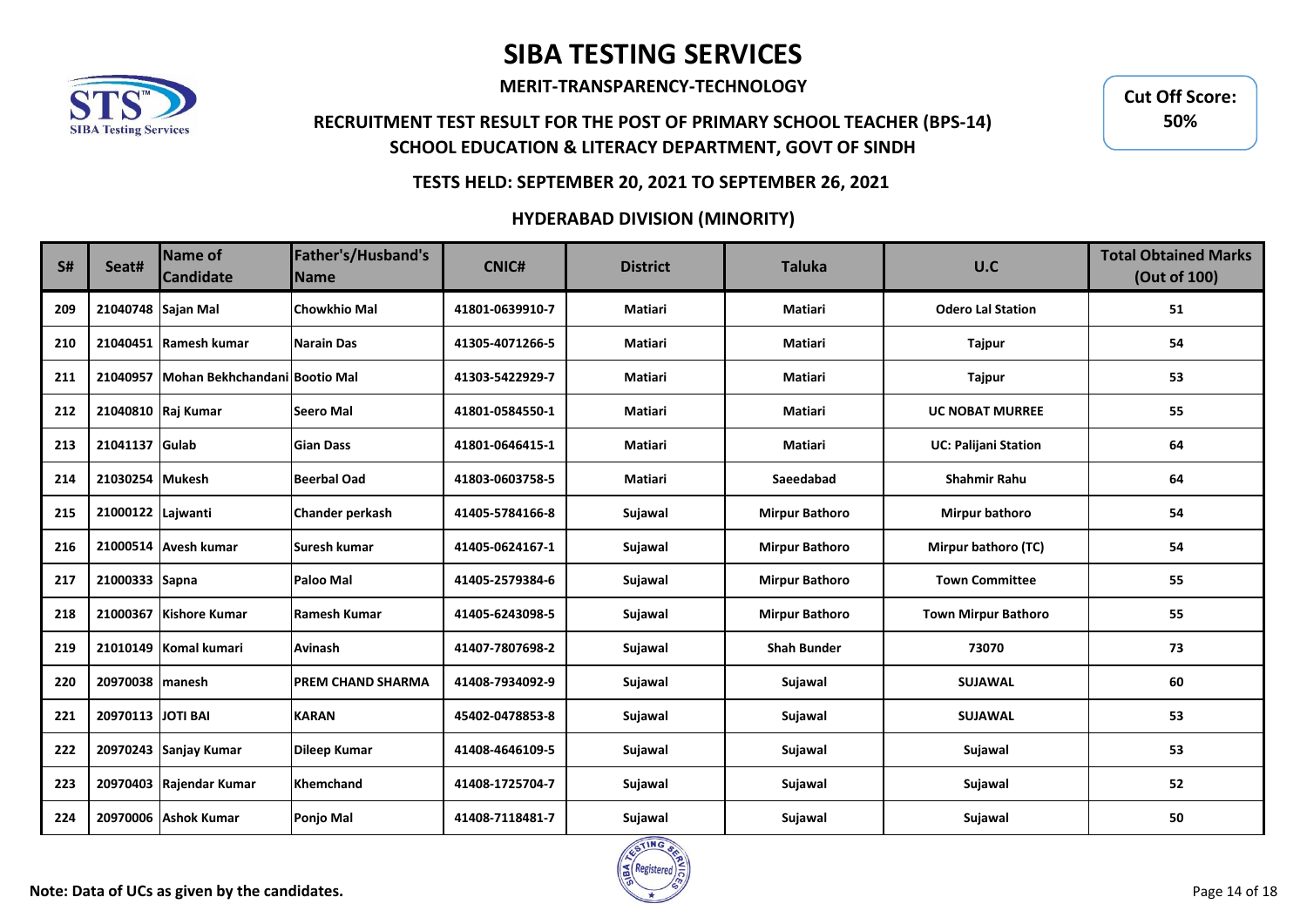

**MERIT-TRANSPARENCY-TECHNOLOGY**

## **RECRUITMENT TEST RESULT FOR THE POST OF PRIMARY SCHOOL TEACHER (BPS-14) SCHOOL EDUCATION & LITERACY DEPARTMENT, GOVT OF SINDH**

**Cut Off Score: 50%**

### **TESTS HELD: SEPTEMBER 20, 2021 TO SEPTEMBER 26, 2021**

| <b>S#</b> | Seat#              | Name of<br><b>Candidate</b>            | Father's/Husband's<br><b>Name</b> | <b>CNIC#</b>    | <b>District</b> | <b>Taluka</b>         | U.C                         | <b>Total Obtained Marks</b><br>(Out of 100) |
|-----------|--------------------|----------------------------------------|-----------------------------------|-----------------|-----------------|-----------------------|-----------------------------|---------------------------------------------|
| 209       | 21040748 Sajan Mal |                                        | <b>Chowkhio Mal</b>               | 41801-0639910-7 | <b>Matiari</b>  | <b>Matiari</b>        | <b>Odero Lal Station</b>    | 51                                          |
| 210       |                    | 21040451 Ramesh kumar                  | <b>Narain Das</b>                 | 41305-4071266-5 | Matiari         | Matiari               | Tajpur                      | 54                                          |
| 211       |                    | 21040957 Mohan Bekhchandani Bootio Mal |                                   | 41303-5422929-7 | Matiari         | Matiari               | Tajpur                      | 53                                          |
| 212       | 21040810 Raj Kumar |                                        | <b>Seero Mal</b>                  | 41801-0584550-1 | Matiari         | Matiari               | <b>UC NOBAT MURREE</b>      | 55                                          |
| 213       | 21041137 Gulab     |                                        | <b>Gian Dass</b>                  | 41801-0646415-1 | Matiari         | Matiari               | <b>UC: Palijani Station</b> | 64                                          |
| 214       | 21030254 Mukesh    |                                        | <b>Beerbal Oad</b>                | 41803-0603758-5 | Matiari         | Saeedabad             | <b>Shahmir Rahu</b>         | 64                                          |
| 215       | 21000122 Lajwanti  |                                        | <b>Chander perkash</b>            | 41405-5784166-8 | Sujawal         | <b>Mirpur Bathoro</b> | <b>Mirpur bathoro</b>       | 54                                          |
| 216       |                    | 21000514 Avesh kumar                   | Suresh kumar                      | 41405-0624167-1 | Sujawal         | <b>Mirpur Bathoro</b> | Mirpur bathoro (TC)         | 54                                          |
| 217       | 21000333 Sapna     |                                        | Paloo Mal                         | 41405-2579384-6 | Sujawal         | <b>Mirpur Bathoro</b> | <b>Town Committee</b>       | 55                                          |
| 218       |                    | 21000367 Kishore Kumar                 | <b>Ramesh Kumar</b>               | 41405-6243098-5 | Sujawal         | <b>Mirpur Bathoro</b> | <b>Town Mirpur Bathoro</b>  | 55                                          |
| 219       |                    | 21010149 Komal kumari                  | Avinash                           | 41407-7807698-2 | Sujawal         | <b>Shah Bunder</b>    | 73070                       | 73                                          |
| 220       | 20970038 manesh    |                                        | <b>PREM CHAND SHARMA</b>          | 41408-7934092-9 | Sujawal         | Sujawal               | <b>SUJAWAL</b>              | 60                                          |
| 221       | 20970113 JOTI BAI  |                                        | <b>KARAN</b>                      | 45402-0478853-8 | Sujawal         | Sujawal               | <b>SUJAWAL</b>              | 53                                          |
| 222       |                    | 20970243 Sanjay Kumar                  | <b>Dileep Kumar</b>               | 41408-4646109-5 | Sujawal         | Sujawal               | Sujawal                     | 53                                          |
| 223       |                    | 20970403 Rajendar Kumar                | <b>Khemchand</b>                  | 41408-1725704-7 | Sujawal         | Sujawal               | Sujawal                     | 52                                          |
| 224       |                    | 20970006 Ashok Kumar                   | Ponjo Mal                         | 41408-7118481-7 | Sujawal         | Sujawal               | Sujawal                     | 50                                          |

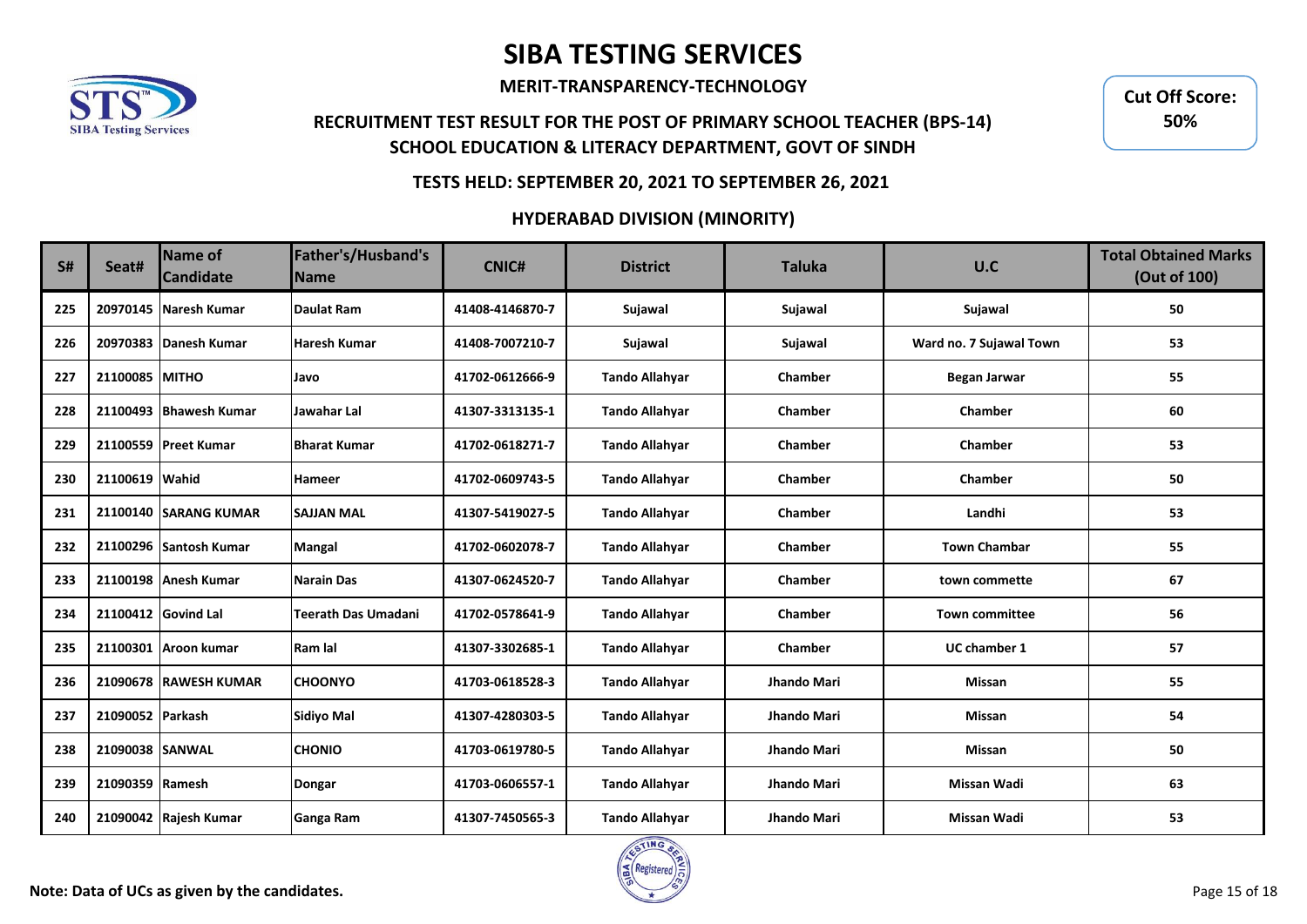

**MERIT-TRANSPARENCY-TECHNOLOGY**

## **RECRUITMENT TEST RESULT FOR THE POST OF PRIMARY SCHOOL TEACHER (BPS-14) SCHOOL EDUCATION & LITERACY DEPARTMENT, GOVT OF SINDH**

**Cut Off Score: 50%**

### **TESTS HELD: SEPTEMBER 20, 2021 TO SEPTEMBER 26, 2021**

| S#  | Seat#            | <b>Name of</b><br><b>Candidate</b> | Father's/Husband's<br><b>Name</b> | <b>CNIC#</b>    | <b>District</b>       | <b>Taluka</b> | U.C                     | <b>Total Obtained Marks</b><br>(Out of 100) |
|-----|------------------|------------------------------------|-----------------------------------|-----------------|-----------------------|---------------|-------------------------|---------------------------------------------|
| 225 |                  | 20970145 Naresh Kumar              | <b>Daulat Ram</b>                 | 41408-4146870-7 | Sujawal               | Sujawal       | Sujawal                 | 50                                          |
| 226 |                  | 20970383 Danesh Kumar              | <b>Haresh Kumar</b>               | 41408-7007210-7 | Sujawal               | Sujawal       | Ward no. 7 Sujawal Town | 53                                          |
| 227 | 21100085 MITHO   |                                    | Javo                              | 41702-0612666-9 | <b>Tando Allahyar</b> | Chamber       | <b>Began Jarwar</b>     | 55                                          |
| 228 |                  | 21100493 Bhawesh Kumar             | Jawahar Lal                       | 41307-3313135-1 | <b>Tando Allahyar</b> | Chamber       | Chamber                 | 60                                          |
| 229 |                  | 21100559 Preet Kumar               | <b>Bharat Kumar</b>               | 41702-0618271-7 | <b>Tando Allahyar</b> | Chamber       | Chamber                 | 53                                          |
| 230 | 21100619 Wahid   |                                    | Hameer                            | 41702-0609743-5 | <b>Tando Allahyar</b> | Chamber       | Chamber                 | 50                                          |
| 231 |                  | 21100140 SARANG KUMAR              | <b>SAJJAN MAL</b>                 | 41307-5419027-5 | <b>Tando Allahyar</b> | Chamber       | Landhi                  | 53                                          |
| 232 |                  | 21100296 Santosh Kumar             | Mangal                            | 41702-0602078-7 | <b>Tando Allahyar</b> | Chamber       | <b>Town Chambar</b>     | 55                                          |
| 233 |                  | 21100198 Anesh Kumar               | <b>Narain Das</b>                 | 41307-0624520-7 | <b>Tando Allahyar</b> | Chamber       | town commette           | 67                                          |
| 234 |                  | 21100412 Govind Lal                | <b>Teerath Das Umadani</b>        | 41702-0578641-9 | <b>Tando Allahyar</b> | Chamber       | <b>Town committee</b>   | 56                                          |
| 235 | 21100301         | Aroon kumar                        | Ram lal                           | 41307-3302685-1 | <b>Tando Allahyar</b> | Chamber       | <b>UC chamber 1</b>     | 57                                          |
| 236 |                  | 21090678 RAWESH KUMAR              | <b>CHOONYO</b>                    | 41703-0618528-3 | <b>Tando Allahyar</b> | Jhando Mari   | <b>Missan</b>           | 55                                          |
| 237 | 21090052 Parkash |                                    | <b>Sidiyo Mal</b>                 | 41307-4280303-5 | <b>Tando Allahyar</b> | Jhando Mari   | <b>Missan</b>           | 54                                          |
| 238 | 21090038 SANWAL  |                                    | <b>CHONIO</b>                     | 41703-0619780-5 | <b>Tando Allahyar</b> | Jhando Mari   | <b>Missan</b>           | 50                                          |
| 239 | 21090359 Ramesh  |                                    | <b>Dongar</b>                     | 41703-0606557-1 | <b>Tando Allahyar</b> | Jhando Mari   | <b>Missan Wadi</b>      | 63                                          |
| 240 |                  | 21090042 Rajesh Kumar              | Ganga Ram                         | 41307-7450565-3 | <b>Tando Allahyar</b> | Jhando Mari   | <b>Missan Wadi</b>      | 53                                          |

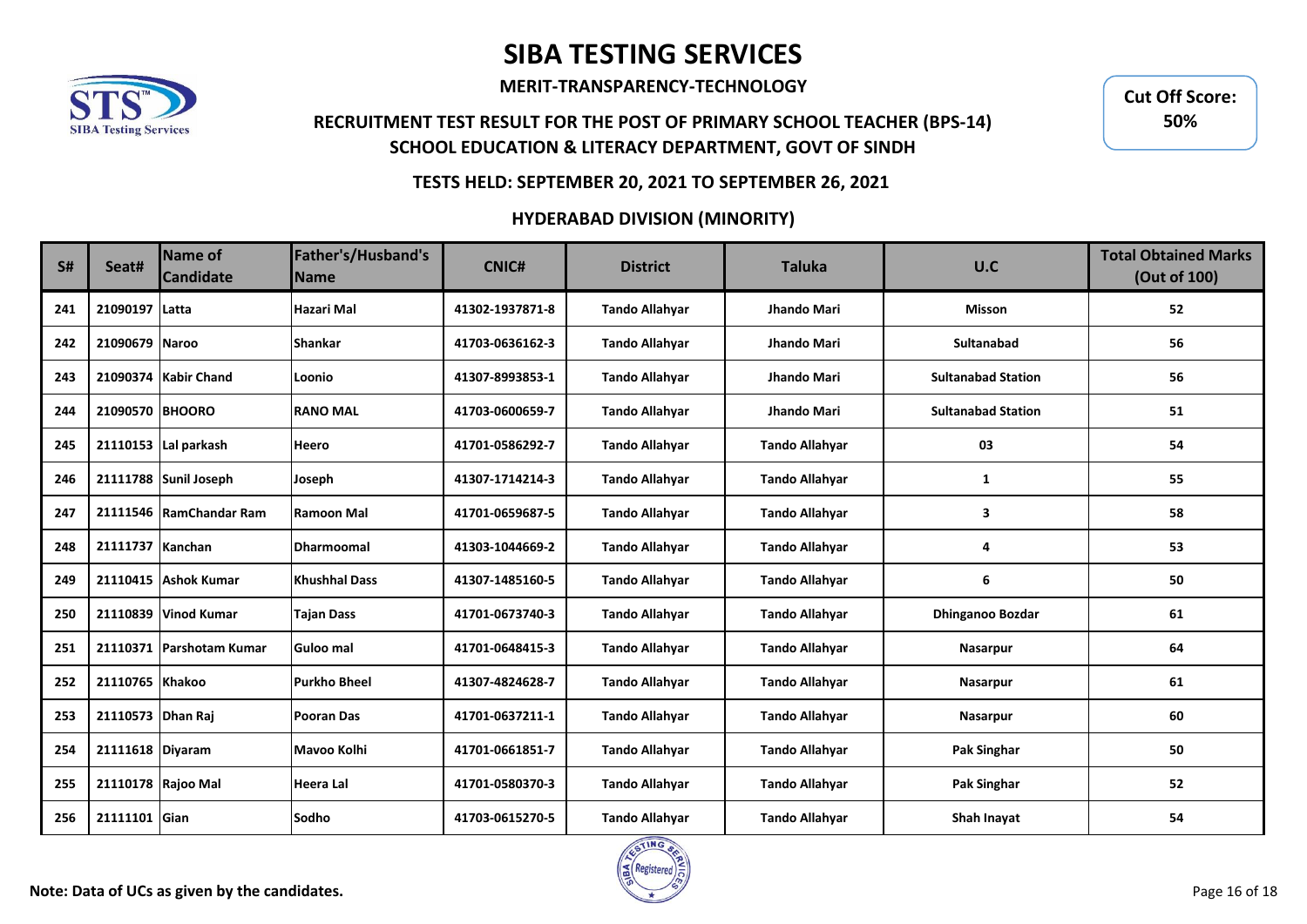

**MERIT-TRANSPARENCY-TECHNOLOGY**

## **RECRUITMENT TEST RESULT FOR THE POST OF PRIMARY SCHOOL TEACHER (BPS-14) SCHOOL EDUCATION & LITERACY DEPARTMENT, GOVT OF SINDH**

**Cut Off Score: 50%**

### **TESTS HELD: SEPTEMBER 20, 2021 TO SEPTEMBER 26, 2021**

| S#  | Seat#              | <b>Name of</b><br><b>Candidate</b> | Father's/Husband's<br><b>Name</b> | <b>CNIC#</b>    | <b>District</b>       | <b>Taluka</b>         | U.C                       | <b>Total Obtained Marks</b><br>(Out of 100) |
|-----|--------------------|------------------------------------|-----------------------------------|-----------------|-----------------------|-----------------------|---------------------------|---------------------------------------------|
| 241 | 21090197           | Latta                              | Hazari Mal                        | 41302-1937871-8 | <b>Tando Allahyar</b> | Jhando Mari           | <b>Misson</b>             | 52                                          |
| 242 | 21090679 Naroo     |                                    | <b>Shankar</b>                    | 41703-0636162-3 | <b>Tando Allahyar</b> | Jhando Mari           | Sultanabad                | 56                                          |
| 243 |                    | 21090374 Kabir Chand               | Loonio                            | 41307-8993853-1 | <b>Tando Allahyar</b> | Jhando Mari           | <b>Sultanabad Station</b> | 56                                          |
| 244 | 21090570 BHOORO    |                                    | <b>RANO MAL</b>                   | 41703-0600659-7 | <b>Tando Allahyar</b> | Jhando Mari           | <b>Sultanabad Station</b> | 51                                          |
| 245 |                    | 21110153 Lal parkash               | <b>Heero</b>                      | 41701-0586292-7 | <b>Tando Allahyar</b> | <b>Tando Allahyar</b> | 03                        | 54                                          |
| 246 |                    | 21111788 Sunil Joseph              | Joseph                            | 41307-1714214-3 | <b>Tando Allahyar</b> | <b>Tando Allahyar</b> | 1                         | 55                                          |
| 247 |                    | 21111546 RamChandar Ram            | Ramoon Mal                        | 41701-0659687-5 | <b>Tando Allahyar</b> | <b>Tando Allahyar</b> | 3                         | 58                                          |
| 248 | 21111737 Kanchan   |                                    | <b>IDharmoomal</b>                | 41303-1044669-2 | <b>Tando Allahyar</b> | <b>Tando Allahyar</b> | 4                         | 53                                          |
| 249 |                    | 21110415 Ashok Kumar               | <b>Khushhal Dass</b>              | 41307-1485160-5 | <b>Tando Allahyar</b> | <b>Tando Allahyar</b> | 6                         | 50                                          |
| 250 |                    | 21110839 Vinod Kumar               | <b>Tajan Dass</b>                 | 41701-0673740-3 | <b>Tando Allahyar</b> | <b>Tando Allahyar</b> | <b>Dhinganoo Bozdar</b>   | 61                                          |
| 251 | 21110371           | Parshotam Kumar                    | Guloo mal                         | 41701-0648415-3 | <b>Tando Allahyar</b> | <b>Tando Allahyar</b> | Nasarpur                  | 64                                          |
| 252 | 21110765 Khakoo    |                                    | <b>Purkho Bheel</b>               | 41307-4824628-7 | <b>Tando Allahyar</b> | <b>Tando Allahyar</b> | Nasarpur                  | 61                                          |
| 253 | 21110573 Dhan Raj  |                                    | <b>Pooran Das</b>                 | 41701-0637211-1 | <b>Tando Allahyar</b> | <b>Tando Allahyar</b> | Nasarpur                  | 60                                          |
| 254 | 21111618 Diyaram   |                                    | Mavoo Kolhi                       | 41701-0661851-7 | <b>Tando Allahyar</b> | <b>Tando Allahyar</b> | Pak Singhar               | 50                                          |
| 255 | 21110178 Rajoo Mal |                                    | Heera Lal                         | 41701-0580370-3 | <b>Tando Allahyar</b> | <b>Tando Allahyar</b> | Pak Singhar               | 52                                          |
| 256 | 21111101           | Gian                               | <b>Sodho</b>                      | 41703-0615270-5 | <b>Tando Allahyar</b> | <b>Tando Allahyar</b> | Shah Inavat               | 54                                          |

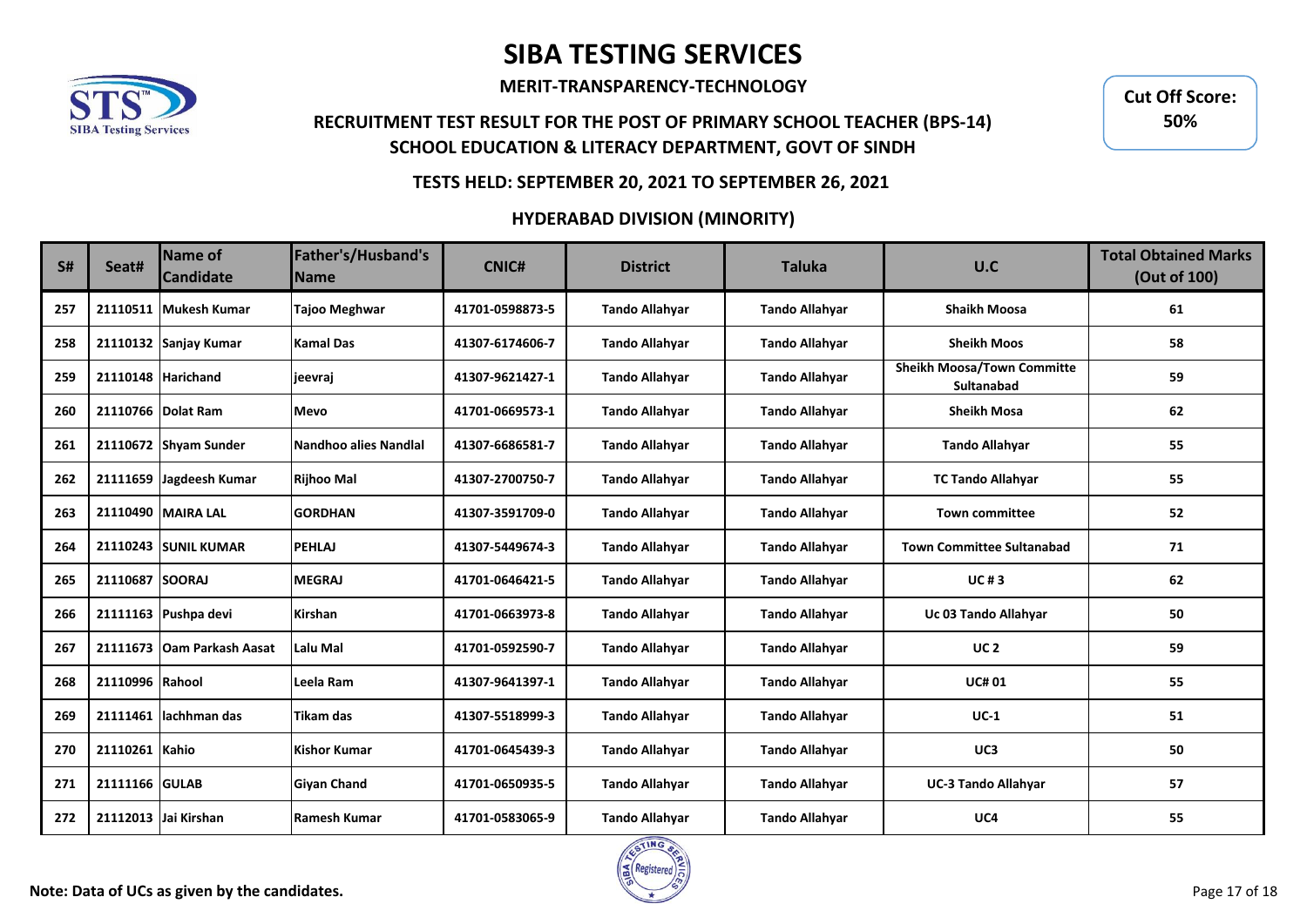

**MERIT-TRANSPARENCY-TECHNOLOGY**

## **RECRUITMENT TEST RESULT FOR THE POST OF PRIMARY SCHOOL TEACHER (BPS-14) SCHOOL EDUCATION & LITERACY DEPARTMENT, GOVT OF SINDH**

**Cut Off Score: 50%**

### **TESTS HELD: SEPTEMBER 20, 2021 TO SEPTEMBER 26, 2021**

| S#  | Seat#              | Name of<br><b>Candidate</b> | Father's/Husband's<br><b>Name</b> | <b>CNIC#</b>    | <b>District</b>       | <b>Taluka</b>         | U.C                                             | <b>Total Obtained Marks</b><br>(Out of 100) |
|-----|--------------------|-----------------------------|-----------------------------------|-----------------|-----------------------|-----------------------|-------------------------------------------------|---------------------------------------------|
| 257 |                    | 21110511 Mukesh Kumar       | <b>Tajoo Meghwar</b>              | 41701-0598873-5 | <b>Tando Allahyar</b> | <b>Tando Allahyar</b> | <b>Shaikh Moosa</b>                             | 61                                          |
| 258 |                    | 21110132 Sanjay Kumar       | <b>Kamal Das</b>                  | 41307-6174606-7 | <b>Tando Allahyar</b> | <b>Tando Allahyar</b> | <b>Sheikh Moos</b>                              | 58                                          |
| 259 | 21110148 Harichand |                             | jeevraj                           | 41307-9621427-1 | <b>Tando Allahyar</b> | <b>Tando Allahyar</b> | <b>Sheikh Moosa/Town Committe</b><br>Sultanabad | 59                                          |
| 260 | 21110766 Dolat Ram |                             | <b>Mevo</b>                       | 41701-0669573-1 | <b>Tando Allahyar</b> | <b>Tando Allahyar</b> | <b>Sheikh Mosa</b>                              | 62                                          |
| 261 |                    | 21110672 Shyam Sunder       | <b>Nandhoo alies Nandlal</b>      | 41307-6686581-7 | <b>Tando Allahyar</b> | <b>Tando Allahyar</b> | <b>Tando Allahyar</b>                           | 55                                          |
| 262 |                    | 21111659 Jagdeesh Kumar     | <b>Rijhoo Mal</b>                 | 41307-2700750-7 | <b>Tando Allahyar</b> | <b>Tando Allahyar</b> | <b>TC Tando Allahyar</b>                        | 55                                          |
| 263 |                    | 21110490 MAIRA LAL          | <b>GORDHAN</b>                    | 41307-3591709-0 | <b>Tando Allahyar</b> | <b>Tando Allahyar</b> | <b>Town committee</b>                           | 52                                          |
| 264 |                    | 21110243 SUNIL KUMAR        | <b>PEHLAJ</b>                     | 41307-5449674-3 | <b>Tando Allahyar</b> | <b>Tando Allahyar</b> | <b>Town Committee Sultanabad</b>                | 71                                          |
| 265 | 21110687 SOORAJ    |                             | <b>MEGRAJ</b>                     | 41701-0646421-5 | <b>Tando Allahyar</b> | <b>Tando Allahyar</b> | <b>UC#3</b>                                     | 62                                          |
| 266 |                    | 21111163 Pushpa devi        | Kirshan                           | 41701-0663973-8 | <b>Tando Allahyar</b> | <b>Tando Allahyar</b> | Uc 03 Tando Allahyar                            | 50                                          |
| 267 | 21111673           | <b>IOam Parkash Aasat</b>   | Lalu Mal                          | 41701-0592590-7 | <b>Tando Allahyar</b> | <b>Tando Allahyar</b> | UC <sub>2</sub>                                 | 59                                          |
| 268 | 21110996 Rahool    |                             | Leela Ram                         | 41307-9641397-1 | <b>Tando Allahyar</b> | <b>Tando Allahyar</b> | <b>UC#01</b>                                    | 55                                          |
| 269 | 21111461           | llachhman das               | Tikam das                         | 41307-5518999-3 | <b>Tando Allahyar</b> | <b>Tando Allahyar</b> | $UC-1$                                          | 51                                          |
| 270 | 21110261 Kahio     |                             | <b>Kishor Kumar</b>               | 41701-0645439-3 | <b>Tando Allahyar</b> | <b>Tando Allahyar</b> | UC3                                             | 50                                          |
| 271 | 21111166 GULAB     |                             | <b>Givan Chand</b>                | 41701-0650935-5 | <b>Tando Allahyar</b> | <b>Tando Allahyar</b> | <b>UC-3 Tando Allahyar</b>                      | 57                                          |
| 272 |                    | 21112013 Jai Kirshan        | Ramesh Kumar                      | 41701-0583065-9 | <b>Tando Allahyar</b> | <b>Tando Allahyar</b> | UC4                                             | 55                                          |